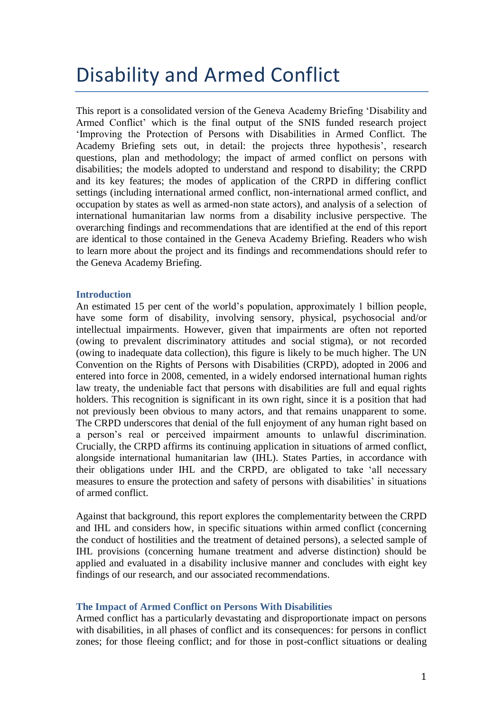# Disability and Armed Conflict

This report is a consolidated version of the Geneva Academy Briefing 'Disability and Armed Conflict' which is the final output of the SNIS funded research project 'Improving the Protection of Persons with Disabilities in Armed Conflict. The Academy Briefing sets out, in detail: the projects three hypothesis', research questions, plan and methodology; the impact of armed conflict on persons with disabilities; the models adopted to understand and respond to disability; the CRPD and its key features; the modes of application of the CRPD in differing conflict settings (including international armed conflict, non-international armed conflict, and occupation by states as well as armed-non state actors), and analysis of a selection of international humanitarian law norms from a disability inclusive perspective. The overarching findings and recommendations that are identified at the end of this report are identical to those contained in the Geneva Academy Briefing. Readers who wish to learn more about the project and its findings and recommendations should refer to the Geneva Academy Briefing.

## **Introduction**

An estimated 15 per cent of the world's population, approximately 1 billion people, have some form of disability, involving sensory, physical, psychosocial and/or intellectual impairments. However, given that impairments are often not reported (owing to prevalent discriminatory attitudes and social stigma), or not recorded (owing to inadequate data collection), this figure is likely to be much higher. The UN Convention on the Rights of Persons with Disabilities (CRPD), adopted in 2006 and entered into force in 2008, cemented, in a widely endorsed international human rights law treaty, the undeniable fact that persons with disabilities are full and equal rights holders. This recognition is significant in its own right, since it is a position that had not previously been obvious to many actors, and that remains unapparent to some. The CRPD underscores that denial of the full enjoyment of any human right based on a person's real or perceived impairment amounts to unlawful discrimination. Crucially, the CRPD affirms its continuing application in situations of armed conflict, alongside international humanitarian law (IHL). States Parties, in accordance with their obligations under IHL and the CRPD, are obligated to take 'all necessary measures to ensure the protection and safety of persons with disabilities' in situations of armed conflict.

Against that background, this report explores the complementarity between the CRPD and IHL and considers how, in specific situations within armed conflict (concerning the conduct of hostilities and the treatment of detained persons), a selected sample of IHL provisions (concerning humane treatment and adverse distinction) should be applied and evaluated in a disability inclusive manner and concludes with eight key findings of our research, and our associated recommendations.

## **The Impact of Armed Conflict on Persons With Disabilities**

Armed conflict has a particularly devastating and disproportionate impact on persons with disabilities, in all phases of conflict and its consequences: for persons in conflict zones; for those fleeing conflict; and for those in post-conflict situations or dealing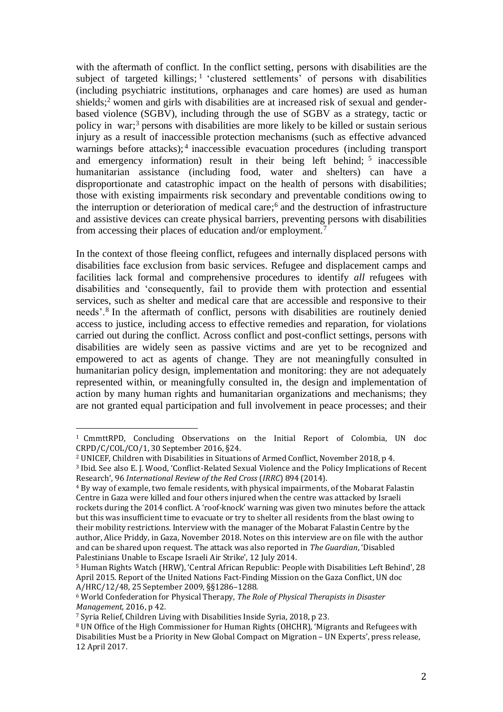with the aftermath of conflict. In the conflict setting, persons with disabilities are the subject of targeted killings;<sup>1</sup> 'clustered settlements' of persons with disabilities (including psychiatric institutions, orphanages and care homes) are used as human shields;<sup>2</sup> women and girls with disabilities are at increased risk of sexual and genderbased violence (SGBV), including through the use of SGBV as a strategy, tactic or policy in war;<sup>3</sup> persons with disabilities are more likely to be killed or sustain serious injury as a result of inaccessible protection mechanisms (such as effective advanced warnings before attacks);<sup>4</sup> inaccessible evacuation procedures (including transport and emergency information) result in their being left behind; <sup>5</sup> inaccessible humanitarian assistance (including food, water and shelters) can have a disproportionate and catastrophic impact on the health of persons with disabilities; those with existing impairments risk secondary and preventable conditions owing to the interruption or deterioration of medical care;<sup>6</sup> and the destruction of infrastructure and assistive devices can create physical barriers, preventing persons with disabilities from accessing their places of education and/or employment.<sup>7</sup>

In the context of those fleeing conflict, refugees and internally displaced persons with disabilities face exclusion from basic services. Refugee and displacement camps and facilities lack formal and comprehensive procedures to identify *all* refugees with disabilities and 'consequently, fail to provide them with protection and essential services, such as shelter and medical care that are accessible and responsive to their needs'.<sup>8</sup> In the aftermath of conflict, persons with disabilities are routinely denied access to justice, including access to effective remedies and reparation, for violations carried out during the conflict. Across conflict and post-conflict settings, persons with disabilities are widely seen as passive victims and are yet to be recognized and empowered to act as agents of change. They are not meaningfully consulted in humanitarian policy design, implementation and monitoring: they are not adequately represented within, or meaningfully consulted in, the design and implementation of action by many human rights and humanitarian organizations and mechanisms; they are not granted equal participation and full involvement in peace processes; and their

<sup>1</sup> CmmttRPD, Concluding Observations on the Initial Report of Colombia, UN doc CRPD/C/COL/CO/1, 30 September 2016, §24.

<sup>2</sup> UNICEF, Children with Disabilities in Situations of Armed Conflict, November 2018, p 4.

<sup>3</sup> Ibid. See also E. J. Wood, 'Conflict-Related Sexual Violence and the Policy Implications of Recent Research', 96 *International Review of the Red Cross* (*IRRC*) 894 (2014).

<sup>4</sup> By way of example, two female residents, with physical impairments, of the Mobarat Falastin Centre in Gaza were killed and four others injured when the centre was attacked by Israeli rockets during the 2014 conflict. A 'roof-knock' warning was given two minutes before the attack but this was insufficient time to evacuate or try to shelter all residents from the blast owing to their mobility restrictions. Interview with the manager of the Mobarat Falastin Centre by the author, Alice Priddy, in Gaza, November 2018. Notes on this interview are on file with the author and can be shared upon request. The attack was also reported in *The Guardian*, 'Disabled Palestinians Unable to Escape Israeli Air Strike', 12 July 2014.

<sup>5</sup> Human Rights Watch (HRW), 'Central African Republic: People with Disabilities Left Behind', 28 April 2015. Report of the United Nations Fact-Finding Mission on the Gaza Conflict, UN doc A/HRC/12/48, 25 September 2009, §§1286–1288.

<sup>6</sup> World Confederation for Physical Therapy, *The Role of Physical Therapists in Disaster Management*, 2016, p 42.

<sup>7</sup> Syria Relief, Children Living with Disabilities Inside Syria, 2018, p 23.

<sup>8</sup> UN Office of the High Commissioner for Human Rights (OHCHR), 'Migrants and Refugees with Disabilities Must be a Priority in New Global Compact on Migration – UN Experts', press release, 12 April 2017.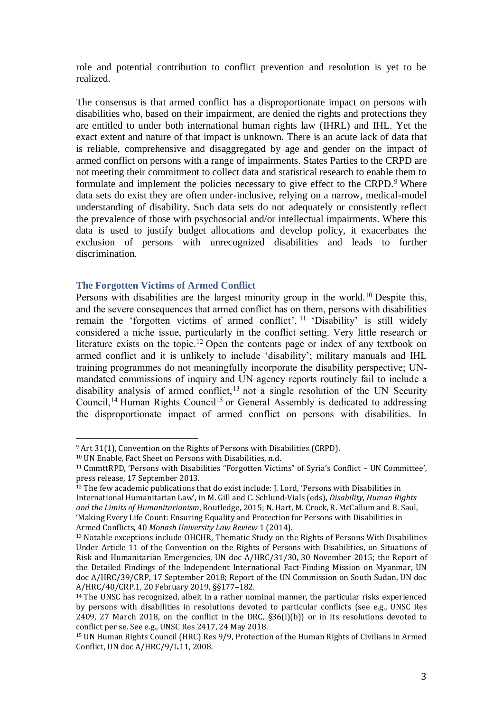role and potential contribution to conflict prevention and resolution is yet to be realized.

The consensus is that armed conflict has a disproportionate impact on persons with disabilities who, based on their impairment, are denied the rights and protections they are entitled to under both international human rights law (IHRL) and IHL. Yet the exact extent and nature of that impact is unknown. There is an acute lack of data that is reliable, comprehensive and disaggregated by age and gender on the impact of armed conflict on persons with a range of impairments. States Parties to the CRPD are not meeting their commitment to collect data and statistical research to enable them to formulate and implement the policies necessary to give effect to the CRPD.<sup>9</sup> Where data sets do exist they are often under-inclusive, relying on a narrow, medical-model understanding of disability. Such data sets do not adequately or consistently reflect the prevalence of those with psychosocial and/or intellectual impairments. Where this data is used to justify budget allocations and develop policy, it exacerbates the exclusion of persons with unrecognized disabilities and leads to further discrimination.

## **The Forgotten Victims of Armed Conflict**

Persons with disabilities are the largest minority group in the world.<sup>10</sup> Despite this, and the severe consequences that armed conflict has on them, persons with disabilities remain the 'forgotten victims of armed conflict'. <sup>11</sup> 'Disability' is still widely considered a niche issue, particularly in the conflict setting. Very little research or literature exists on the topic.<sup>12</sup> Open the contents page or index of any textbook on armed conflict and it is unlikely to include 'disability'; military manuals and IHL training programmes do not meaningfully incorporate the disability perspective; UNmandated commissions of inquiry and UN agency reports routinely fail to include a disability analysis of armed conflict,<sup>13</sup> not a single resolution of the UN Security Council,<sup>14</sup> Human Rights Council<sup>15</sup> or General Assembly is dedicated to addressing the disproportionate impact of armed conflict on persons with disabilities. In

<sup>9</sup> Art 31(1), Convention on the Rights of Persons with Disabilities (CRPD).

<sup>10</sup> UN Enable, Fact Sheet on Persons with Disabilities, n.d.

<sup>11</sup> CmmttRPD, 'Persons with Disabilities "Forgotten Victims" of Syria's Conflict – UN Committee', press release, 17 September 2013.

<sup>&</sup>lt;sup>12</sup> The few academic publications that do exist include: J. Lord, 'Persons with Disabilities in International Humanitarian Law', in M. Gill and C. Schlund-Vials (eds), *Disability, Human Rights and the Limits of Humanitarianism*, Routledge, 2015; N. Hart, M. Crock, R. McCallum and B. Saul, 'Making Every Life Count: Ensuring Equality and Protection for Persons with Disabilities in Armed Conflicts, 40 *Monash University Law Review* 1 (2014).

<sup>13</sup> Notable exceptions include OHCHR, Thematic Study on the Rights of Persons With Disabilities Under Article 11 of the Convention on the Rights of Persons with Disabilities, on Situations of Risk and Humanitarian Emergencies, UN doc A/HRC/31/30, 30 November 2015; the Report of the Detailed Findings of the Independent International Fact-Finding Mission on Myanmar, UN doc A/HRC/39/CRP, 17 September 2018; Report of the UN Commission on South Sudan, UN doc A/HRC/40/CRP.1, 20 February 2019, §§177–182.

<sup>&</sup>lt;sup>14</sup> The UNSC has recognized, albeit in a rather nominal manner, the particular risks experienced by persons with disabilities in resolutions devoted to particular conflicts (see e.g., UNSC Res 2409, 27 March 2018, on the conflict in the DRC, §36(i)(b)) or in its resolutions devoted to conflict per se. See e.g., UNSC Res 2417, 24 May 2018.

<sup>15</sup> UN Human Rights Council (HRC) Res 9/9, Protection of the Human Rights of Civilians in Armed Conflict, UN doc A/HRC/9/L.11, 2008.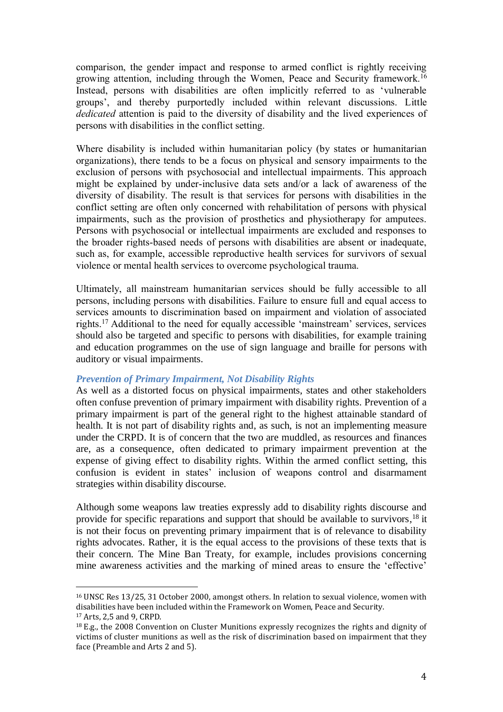comparison, the gender impact and response to armed conflict is rightly receiving growing attention, including through the Women, Peace and Security framework.<sup>16</sup> Instead, persons with disabilities are often implicitly referred to as 'vulnerable groups', and thereby purportedly included within relevant discussions. Little *dedicated* attention is paid to the diversity of disability and the lived experiences of persons with disabilities in the conflict setting.

Where disability is included within humanitarian policy (by states or humanitarian organizations), there tends to be a focus on physical and sensory impairments to the exclusion of persons with psychosocial and intellectual impairments. This approach might be explained by under-inclusive data sets and/or a lack of awareness of the diversity of disability. The result is that services for persons with disabilities in the conflict setting are often only concerned with rehabilitation of persons with physical impairments, such as the provision of prosthetics and physiotherapy for amputees. Persons with psychosocial or intellectual impairments are excluded and responses to the broader rights-based needs of persons with disabilities are absent or inadequate, such as, for example, accessible reproductive health services for survivors of sexual violence or mental health services to overcome psychological trauma.

Ultimately, all mainstream humanitarian services should be fully accessible to all persons, including persons with disabilities. Failure to ensure full and equal access to services amounts to discrimination based on impairment and violation of associated rights.<sup>17</sup> Additional to the need for equally accessible 'mainstream' services, services should also be targeted and specific to persons with disabilities, for example training and education programmes on the use of sign language and braille for persons with auditory or visual impairments.

## *Prevention of Primary Impairment, Not Disability Rights*

 $\overline{a}$ 

As well as a distorted focus on physical impairments, states and other stakeholders often confuse prevention of primary impairment with disability rights. Prevention of a primary impairment is part of the general right to the highest attainable standard of health. It is not part of disability rights and, as such, is not an implementing measure under the CRPD. It is of concern that the two are muddled, as resources and finances are, as a consequence, often dedicated to primary impairment prevention at the expense of giving effect to disability rights. Within the armed conflict setting, this confusion is evident in states' inclusion of weapons control and disarmament strategies within disability discourse.

Although some weapons law treaties expressly add to disability rights discourse and provide for specific reparations and support that should be available to survivors,<sup>18</sup> it is not their focus on preventing primary impairment that is of relevance to disability rights advocates. Rather, it is the equal access to the provisions of these texts that is their concern. The Mine Ban Treaty, for example, includes provisions concerning mine awareness activities and the marking of mined areas to ensure the 'effective'

<sup>16</sup> UNSC Res 13/25, 31 October 2000, amongst others. In relation to sexual violence, women with disabilities have been included within the Framework on Women, Peace and Security. <sup>17</sup> Arts, 2,5 and 9, CRPD.

<sup>18</sup> E.g., the 2008 Convention on Cluster Munitions expressly recognizes the rights and dignity of victims of cluster munitions as well as the risk of discrimination based on impairment that they face (Preamble and Arts 2 and 5).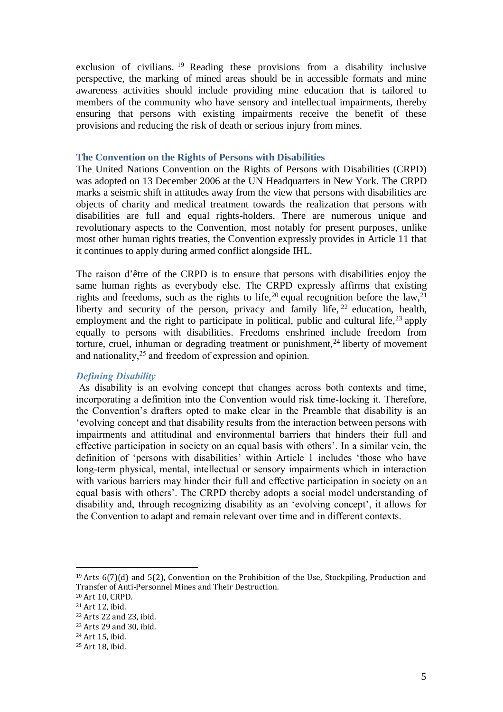exclusion of civilians. <sup>19</sup> Reading these provisions from a disability inclusive perspective, the marking of mined areas should be in accessible formats and mine awareness activities should include providing mine education that is tailored to members of the community who have sensory and intellectual impairments, thereby ensuring that persons with existing impairments receive the benefit of these provisions and reducing the risk of death or serious injury from mines.

#### **The Convention on the Rights of Persons with Disabilities**

The United Nations Convention on the Rights of Persons with Disabilities (CRPD) was adopted on 13 December 2006 at the UN Headquarters in New York. The CRPD marks a seismic shift in attitudes away from the view that persons with disabilities are objects of charity and medical treatment towards the realization that persons with disabilities are full and equal rights-holders. There are numerous unique and revolutionary aspects to the Convention, most notably for present purposes, unlike most other human rights treaties, the Convention expressly provides in Article 11 that it continues to apply during armed conflict alongside IHL.

The raison d'être of the CRPD is to ensure that persons with disabilities enjoy the same human rights as everybody else. The CRPD expressly affirms that existing rights and freedoms, such as the rights to life,  $20$  equal recognition before the law,  $21$ liberty and security of the person, privacy and family life,  $2^2$  education, health, employment and the right to participate in political, public and cultural life,<sup>23</sup> apply equally to persons with disabilities. Freedoms enshrined include freedom from torture, cruel, inhuman or degrading treatment or punishment,  $24$  liberty of movement and nationality, <sup>25</sup> and freedom of expression and opinion.

## *Defining Disability*

As disability is an evolving concept that changes across both contexts and time, incorporating a definition into the Convention would risk time-locking it. Therefore, the Convention's drafters opted to make clear in the Preamble that disability is an 'evolving concept and that disability results from the interaction between persons with impairments and attitudinal and environmental barriers that hinders their full and effective participation in society on an equal basis with others'. In a similar vein, the definition of 'persons with disabilities' within Article 1 includes 'those who have long-term physical, mental, intellectual or sensory impairments which in interaction with various barriers may hinder their full and effective participation in society on an equal basis with others'. The CRPD thereby adopts a social model understanding of disability and, through recognizing disability as an 'evolving concept', it allows for the Convention to adapt and remain relevant over time and in different contexts.

 $19$  Arts 6(7)(d) and 5(2), Convention on the Prohibition of the Use, Stockpiling, Production and Transfer of Anti-Personnel Mines and Their Destruction.

<sup>20</sup> Art 10, CRPD.

<sup>21</sup> Art 12, ibid.

<sup>22</sup> Arts 22 and 23, ibid.

<sup>23</sup> Arts 29 and 30, ibid.

<sup>24</sup> Art 15, ibid.

<sup>25</sup> Art 18, ibid.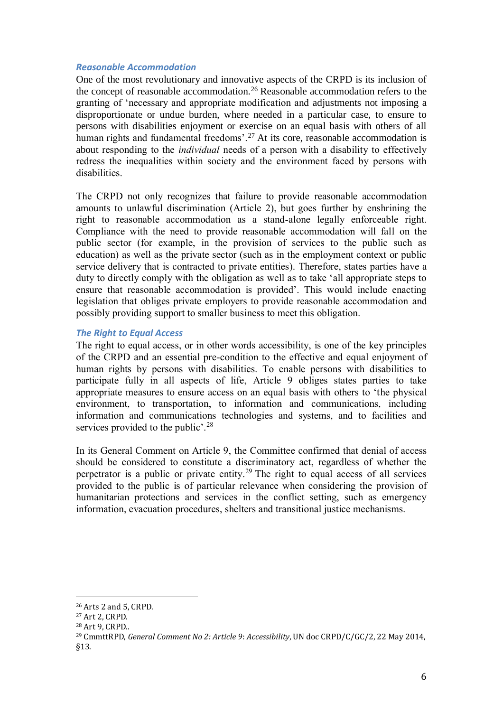## *Reasonable Accommodation*

One of the most revolutionary and innovative aspects of the CRPD is its inclusion of the concept of reasonable accommodation.<sup>26</sup> Reasonable accommodation refers to the granting of 'necessary and appropriate modification and adjustments not imposing a disproportionate or undue burden, where needed in a particular case, to ensure to persons with disabilities enjoyment or exercise on an equal basis with others of all human rights and fundamental freedoms'.<sup>27</sup> At its core, reasonable accommodation is about responding to the *individual* needs of a person with a disability to effectively redress the inequalities within society and the environment faced by persons with disabilities.

The CRPD not only recognizes that failure to provide reasonable accommodation amounts to unlawful discrimination (Article 2), but goes further by enshrining the right to reasonable accommodation as a stand-alone legally enforceable right. Compliance with the need to provide reasonable accommodation will fall on the public sector (for example, in the provision of services to the public such as education) as well as the private sector (such as in the employment context or public service delivery that is contracted to private entities). Therefore, states parties have a duty to directly comply with the obligation as well as to take 'all appropriate steps to ensure that reasonable accommodation is provided'. This would include enacting legislation that obliges private employers to provide reasonable accommodation and possibly providing support to smaller business to meet this obligation.

## *The Right to Equal Access*

The right to equal access, or in other words accessibility, is one of the key principles of the CRPD and an essential pre-condition to the effective and equal enjoyment of human rights by persons with disabilities. To enable persons with disabilities to participate fully in all aspects of life, Article 9 obliges states parties to take appropriate measures to ensure access on an equal basis with others to 'the physical environment, to transportation, to information and communications, including information and communications technologies and systems, and to facilities and services provided to the public'.<sup>28</sup>

In its General Comment on Article 9, the Committee confirmed that denial of access should be considered to constitute a discriminatory act, regardless of whether the perpetrator is a public or private entity.<sup>29</sup> The right to equal access of all services provided to the public is of particular relevance when considering the provision of humanitarian protections and services in the conflict setting, such as emergency information, evacuation procedures, shelters and transitional justice mechanisms.

<sup>26</sup> Arts 2 and 5, CRPD.

<sup>27</sup> Art 2, CRPD.

<sup>28</sup> Art 9, CRPD..

<sup>29</sup> CmmttRPD, *General Comment No 2: Article 9*: *Accessibility*, UN doc CRPD/C/GC/2, 22 May 2014, §13.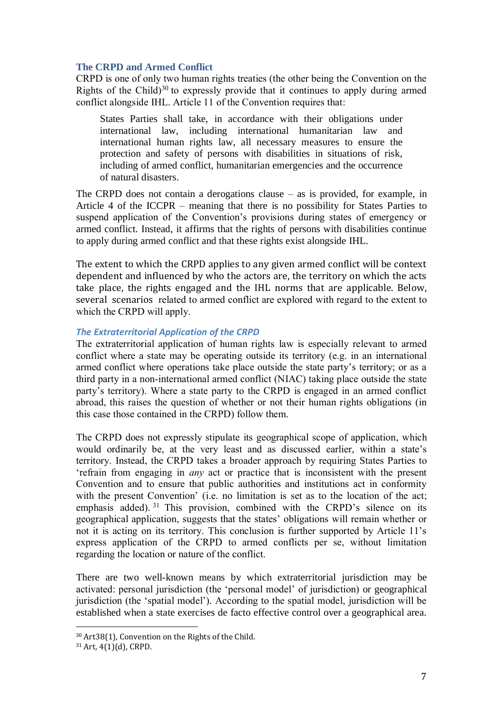## **The CRPD and Armed Conflict**

CRPD is one of only two human rights treaties (the other being the Convention on the Rights of the Child)<sup>30</sup> to expressly provide that it continues to apply during armed conflict alongside IHL. Article 11 of the Convention requires that:

States Parties shall take, in accordance with their obligations under international law, including international humanitarian law and international human rights law, all necessary measures to ensure the protection and safety of persons with disabilities in situations of risk, including of armed conflict, humanitarian emergencies and the occurrence of natural disasters.

The CRPD does not contain a derogations clause – as is provided, for example, in Article 4 of the ICCPR – meaning that there is no possibility for States Parties to suspend application of the Convention's provisions during states of emergency or armed conflict. Instead, it affirms that the rights of persons with disabilities continue to apply during armed conflict and that these rights exist alongside IHL.

The extent to which the CRPD applies to any given armed conflict will be context dependent and influenced by who the actors are, the territory on which the acts take place, the rights engaged and the IHL norms that are applicable. Below, several scenarios related to armed conflict are explored with regard to the extent to which the CRPD will apply.

## *The Extraterritorial Application of the CRPD*

The extraterritorial application of human rights law is especially relevant to armed conflict where a state may be operating outside its territory (e.g. in an international armed conflict where operations take place outside the state party's territory; or as a third party in a non-international armed conflict (NIAC) taking place outside the state party's territory). Where a state party to the CRPD is engaged in an armed conflict abroad, this raises the question of whether or not their human rights obligations (in this case those contained in the CRPD) follow them.

The CRPD does not expressly stipulate its geographical scope of application, which would ordinarily be, at the very least and as discussed earlier, within a state's territory. Instead, the CRPD takes a broader approach by requiring States Parties to 'refrain from engaging in *any* act or practice that is inconsistent with the present Convention and to ensure that public authorities and institutions act in conformity with the present Convention' (i.e. no limitation is set as to the location of the act; emphasis added). <sup>31</sup> This provision, combined with the CRPD's silence on its geographical application, suggests that the states' obligations will remain whether or not it is acting on its territory. This conclusion is further supported by Article 11's express application of the CRPD to armed conflicts per se, without limitation regarding the location or nature of the conflict.

There are two well-known means by which extraterritorial jurisdiction may be activated: personal jurisdiction (the 'personal model' of jurisdiction) or geographical jurisdiction (the 'spatial model'). According to the spatial model, jurisdiction will be established when a state exercises de facto effective control over a geographical area.

<sup>30</sup> Art38(1), Convention on the Rights of the Child.

<sup>31</sup> Art, 4(1)(d), CRPD.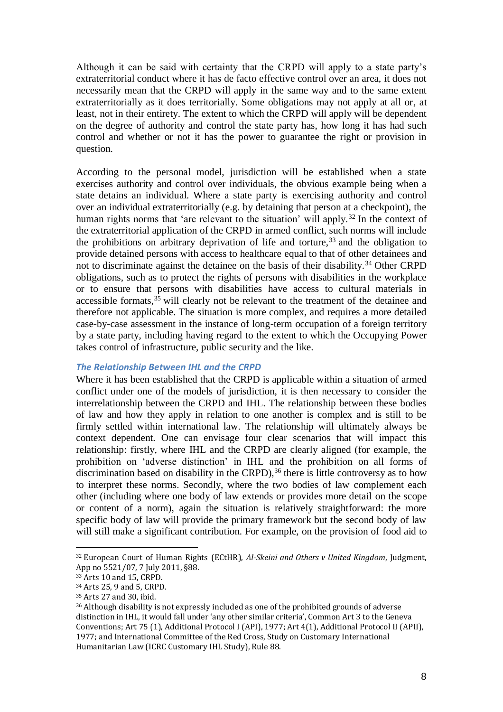Although it can be said with certainty that the CRPD will apply to a state party's extraterritorial conduct where it has de facto effective control over an area, it does not necessarily mean that the CRPD will apply in the same way and to the same extent extraterritorially as it does territorially. Some obligations may not apply at all or, at least, not in their entirety. The extent to which the CRPD will apply will be dependent on the degree of authority and control the state party has, how long it has had such control and whether or not it has the power to guarantee the right or provision in question.

According to the personal model, jurisdiction will be established when a state exercises authority and control over individuals, the obvious example being when a state detains an individual. Where a state party is exercising authority and control over an individual extraterritorially (e.g. by detaining that person at a checkpoint), the human rights norms that 'are relevant to the situation' will apply.<sup>32</sup> In the context of the extraterritorial application of the CRPD in armed conflict, such norms will include the prohibitions on arbitrary deprivation of life and torture,  $33$  and the obligation to provide detained persons with access to healthcare equal to that of other detainees and not to discriminate against the detainee on the basis of their disability.<sup>34</sup> Other CRPD obligations, such as to protect the rights of persons with disabilities in the workplace or to ensure that persons with disabilities have access to cultural materials in accessible formats,<sup>35</sup> will clearly not be relevant to the treatment of the detainee and therefore not applicable. The situation is more complex, and requires a more detailed case-by-case assessment in the instance of long-term occupation of a foreign territory by a state party, including having regard to the extent to which the Occupying Power takes control of infrastructure, public security and the like.

#### *The Relationship Between IHL and the CRPD*

Where it has been established that the CRPD is applicable within a situation of armed conflict under one of the models of jurisdiction, it is then necessary to consider the interrelationship between the CRPD and IHL. The relationship between these bodies of law and how they apply in relation to one another is complex and is still to be firmly settled within international law. The relationship will ultimately always be context dependent. One can envisage four clear scenarios that will impact this relationship: firstly, where IHL and the CRPD are clearly aligned (for example, the prohibition on 'adverse distinction' in IHL and the prohibition on all forms of discrimination based on disability in the CRPD),  $36$  there is little controversy as to how to interpret these norms. Secondly, where the two bodies of law complement each other (including where one body of law extends or provides more detail on the scope or content of a norm), again the situation is relatively straightforward: the more specific body of law will provide the primary framework but the second body of law will still make a significant contribution. For example, on the provision of food aid to

<sup>32</sup> European Court of Human Rights (ECtHR), *Al-Skeini and Others v United Kingdom*, Judgment, App no 5521/07, 7 July 2011, §88.

<sup>33</sup> Arts 10 and 15, CRPD.

<sup>34</sup> Arts 25, 9 and 5, CRPD.

<sup>35</sup> Arts 27 and 30, ibid.

<sup>36</sup> Although disability is not expressly included as one of the prohibited grounds of adverse distinction in IHL, it would fall under 'any other similar criteria', Common Art 3 to the Geneva Conventions; Art 75 (1), Additional Protocol I (API), 1977; Art 4(1), Additional Protocol II (APII), 1977; and International Committee of the Red Cross, Study on Customary International Humanitarian Law (ICRC Customary IHL Study), Rule 88.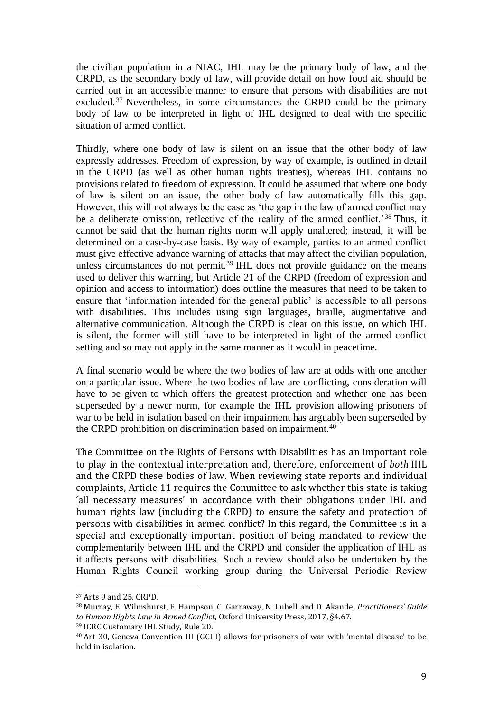the civilian population in a NIAC, IHL may be the primary body of law, and the CRPD, as the secondary body of law, will provide detail on how food aid should be carried out in an accessible manner to ensure that persons with disabilities are not excluded. <sup>37</sup> Nevertheless, in some circumstances the CRPD could be the primary body of law to be interpreted in light of IHL designed to deal with the specific situation of armed conflict.

Thirdly, where one body of law is silent on an issue that the other body of law expressly addresses. Freedom of expression, by way of example, is outlined in detail in the CRPD (as well as other human rights treaties), whereas IHL contains no provisions related to freedom of expression. It could be assumed that where one body of law is silent on an issue, the other body of law automatically fills this gap. However, this will not always be the case as 'the gap in the law of armed conflict may be a deliberate omission, reflective of the reality of the armed conflict.<sup>38</sup> Thus, it cannot be said that the human rights norm will apply unaltered; instead, it will be determined on a case-by-case basis. By way of example, parties to an armed conflict must give effective advance warning of attacks that may affect the civilian population, unless circumstances do not permit.<sup>39</sup> IHL does not provide guidance on the means used to deliver this warning, but Article 21 of the CRPD (freedom of expression and opinion and access to information) does outline the measures that need to be taken to ensure that 'information intended for the general public' is accessible to all persons with disabilities. This includes using sign languages, braille, augmentative and alternative communication. Although the CRPD is clear on this issue, on which IHL is silent, the former will still have to be interpreted in light of the armed conflict setting and so may not apply in the same manner as it would in peacetime.

A final scenario would be where the two bodies of law are at odds with one another on a particular issue. Where the two bodies of law are conflicting, consideration will have to be given to which offers the greatest protection and whether one has been superseded by a newer norm, for example the IHL provision allowing prisoners of war to be held in isolation based on their impairment has arguably been superseded by the CRPD prohibition on discrimination based on impairment.<sup>40</sup>

The Committee on the Rights of Persons with Disabilities has an important role to play in the contextual interpretation and, therefore, enforcement of *both* IHL and the CRPD these bodies of law. When reviewing state reports and individual complaints, Article 11 requires the Committee to ask whether this state is taking 'all necessary measures' in accordance with their obligations under IHL and human rights law (including the CRPD) to ensure the safety and protection of persons with disabilities in armed conflict? In this regard, the Committee is in a special and exceptionally important position of being mandated to review the complementarily between IHL and the CRPD and consider the application of IHL as it affects persons with disabilities. Such a review should also be undertaken by the Human Rights Council working group during the Universal Periodic Review

<sup>37</sup> Arts 9 and 25, CRPD.

<sup>38</sup> Murray, E. Wilmshurst, F. Hampson, C. Garraway, N. Lubell and D. Akande, *Practitioners' Guide to Human Rights Law in Armed Conflict*, Oxford University Press, 2017, §4.67.

<sup>39</sup> ICRC Customary IHL Study, Rule 20.

<sup>40</sup> Art 30, Geneva Convention III (GCIII) allows for prisoners of war with 'mental disease' to be held in isolation.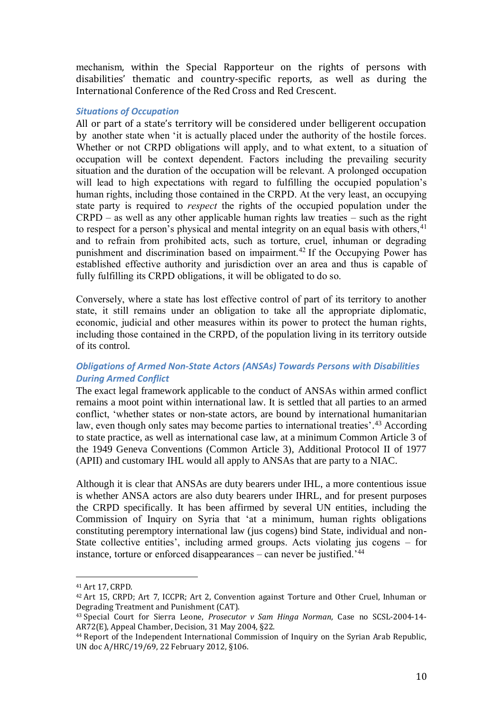mechanism, within the Special Rapporteur on the rights of persons with disabilities' thematic and country-specific reports, as well as during the International Conference of the Red Cross and Red Crescent.

## *Situations of Occupation*

All or part of a state's territory will be considered under belligerent occupation by another state when 'it is actually placed under the authority of the hostile forces. Whether or not CRPD obligations will apply, and to what extent, to a situation of occupation will be context dependent. Factors including the prevailing security situation and the duration of the occupation will be relevant. A prolonged occupation will lead to high expectations with regard to fulfilling the occupied population's human rights, including those contained in the CRPD. At the very least, an occupying state party is required to *respect* the rights of the occupied population under the CRPD – as well as any other applicable human rights law treaties – such as the right to respect for a person's physical and mental integrity on an equal basis with others,  $41$ and to refrain from prohibited acts, such as torture, cruel, inhuman or degrading punishment and discrimination based on impairment.<sup>42</sup> If the Occupying Power has established effective authority and jurisdiction over an area and thus is capable of fully fulfilling its CRPD obligations, it will be obligated to do so.

Conversely, where a state has lost effective control of part of its territory to another state, it still remains under an obligation to take all the appropriate diplomatic, economic, judicial and other measures within its power to protect the human rights, including those contained in the CRPD, of the population living in its territory outside of its control.

# *Obligations of Armed Non-State Actors (ANSAs) Towards Persons with Disabilities During Armed Conflict*

The exact legal framework applicable to the conduct of ANSAs within armed conflict remains a moot point within international law. It is settled that all parties to an armed conflict, 'whether states or non-state actors, are bound by international humanitarian law, even though only sates may become parties to international treaties'.<sup>43</sup> According to state practice, as well as international case law, at a minimum Common Article 3 of the 1949 Geneva Conventions (Common Article 3), Additional Protocol II of 1977 (APII) and customary IHL would all apply to ANSAs that are party to a NIAC.

Although it is clear that ANSAs are duty bearers under IHL, a more contentious issue is whether ANSA actors are also duty bearers under IHRL, and for present purposes the CRPD specifically. It has been affirmed by several UN entities, including the Commission of Inquiry on Syria that 'at a minimum, human rights obligations constituting peremptory international law (jus cogens) bind State, individual and non-State collective entities', including armed groups. Acts violating jus cogens – for instance, torture or enforced disappearances – can never be justified.'<sup>44</sup>

<sup>41</sup> Art 17, CRPD.

<sup>42</sup> Art 15, CRPD; Art 7, ICCPR; Art 2, Convention against Torture and Other Cruel, Inhuman or Degrading Treatment and Punishment (CAT).

<sup>43</sup> Special Court for Sierra Leone, *Prosecutor v Sam Hinga Norman*, Case no SCSL-2004-14- AR72(E), Appeal Chamber, Decision, 31 May 2004, §22.

<sup>44</sup> Report of the Independent International Commission of Inquiry on the Syrian Arab Republic, UN doc A/HRC/19/69, 22 February 2012, §106.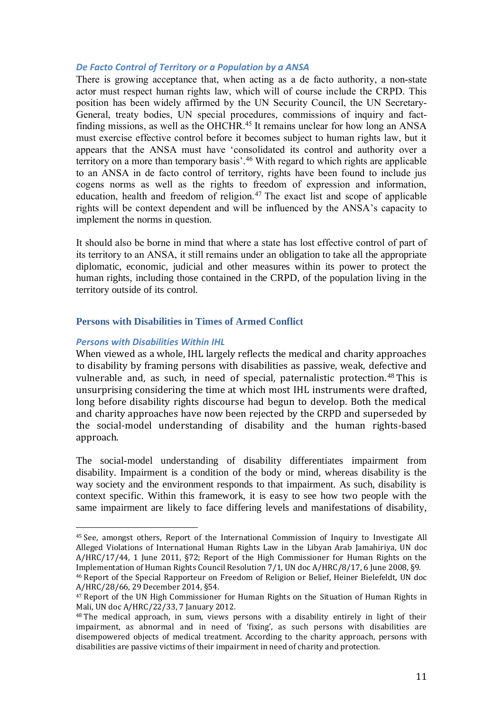## *De Facto Control of Territory or a Population by a ANSA*

There is growing acceptance that, when acting as a de facto authority, a non-state actor must respect human rights law, which will of course include the CRPD. This position has been widely affirmed by the UN Security Council, the UN Secretary-General, treaty bodies, UN special procedures, commissions of inquiry and factfinding missions, as well as the OHCHR.<sup>45</sup> It remains unclear for how long an ANSA must exercise effective control before it becomes subject to human rights law, but it appears that the ANSA must have 'consolidated its control and authority over a territory on a more than temporary basis'.<sup>46</sup> With regard to which rights are applicable to an ANSA in de facto control of territory, rights have been found to include jus cogens norms as well as the rights to freedom of expression and information, education, health and freedom of religion. $47$  The exact list and scope of applicable rights will be context dependent and will be influenced by the ANSA's capacity to implement the norms in question.

It should also be borne in mind that where a state has lost effective control of part of its territory to an ANSA, it still remains under an obligation to take all the appropriate diplomatic, economic, judicial and other measures within its power to protect the human rights, including those contained in the CRPD, of the population living in the territory outside of its control.

## **Persons with Disabilities in Times of Armed Conflict**

## *Persons with Disabilities Within IHL*

 $\overline{a}$ 

When viewed as a whole, IHL largely reflects the medical and charity approaches to disability by framing persons with disabilities as passive, weak, defective and vulnerable and, as such, in need of special, paternalistic protection.<sup>48</sup> This is unsurprising considering the time at which most IHL instruments were drafted, long before disability rights discourse had begun to develop. Both the medical and charity approaches have now been rejected by the CRPD and superseded by the social-model understanding of disability and the human rights-based approach.

The social-model understanding of disability differentiates impairment from disability. Impairment is a condition of the body or mind, whereas disability is the way society and the environment responds to that impairment. As such, disability is context specific. Within this framework, it is easy to see how two people with the same impairment are likely to face differing levels and manifestations of disability,

<sup>45</sup> See, amongst others, Report of the International Commission of Inquiry to Investigate All Alleged Violations of International Human Rights Law in the Libyan Arab Jamahiriya, UN doc A/HRC/17/44, 1 June 2011, §72; Report of the High Commissioner for Human Rights on the Implementation of Human Rights Council Resolution 7/1, UN doc A/HRC/8/17, 6 June 2008, §9.

<sup>46</sup> Report of the Special Rapporteur on Freedom of Religion or Belief, Heiner Bielefeldt, UN doc A/HRC/28/66, 29 December 2014, §54.

<sup>&</sup>lt;sup>47</sup> Report of the UN High Commissioner for Human Rights on the Situation of Human Rights in Mali, UN doc A/HRC/22/33, 7 January 2012.

<sup>48</sup> The medical approach, in sum, views persons with a disability entirely in light of their impairment, as abnormal and in need of 'fixing', as such persons with disabilities are disempowered objects of medical treatment. According to the charity approach, persons with disabilities are passive victims of their impairment in need of charity and protection.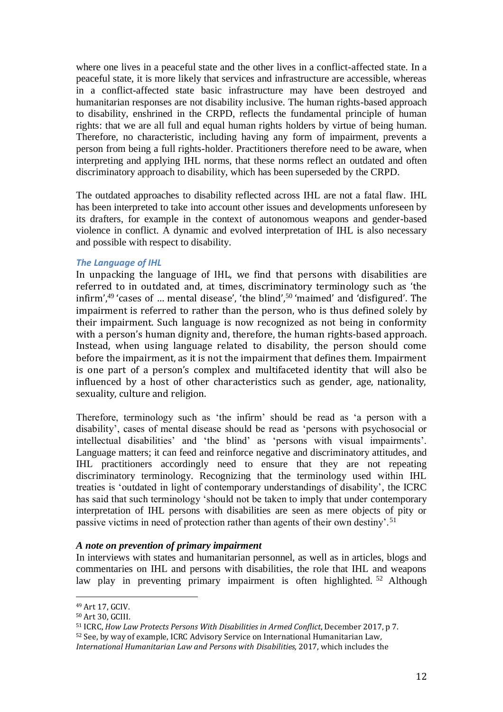where one lives in a peaceful state and the other lives in a conflict-affected state. In a peaceful state, it is more likely that services and infrastructure are accessible, whereas in a conflict-affected state basic infrastructure may have been destroyed and humanitarian responses are not disability inclusive. The human rights-based approach to disability, enshrined in the CRPD, reflects the fundamental principle of human rights: that we are all full and equal human rights holders by virtue of being human. Therefore, no characteristic, including having any form of impairment, prevents a person from being a full rights-holder. Practitioners therefore need to be aware, when interpreting and applying IHL norms, that these norms reflect an outdated and often discriminatory approach to disability, which has been superseded by the CRPD.

The outdated approaches to disability reflected across IHL are not a fatal flaw. IHL has been interpreted to take into account other issues and developments unforeseen by its drafters, for example in the context of autonomous weapons and gender-based violence in conflict. A dynamic and evolved interpretation of IHL is also necessary and possible with respect to disability.

## *The Language of IHL*

In unpacking the language of IHL, we find that persons with disabilities are referred to in outdated and, at times, discriminatory terminology such as 'the infirm', $49$  'cases of ... mental disease', 'the blind', $50$  'maimed' and 'disfigured'. The impairment is referred to rather than the person, who is thus defined solely by their impairment. Such language is now recognized as not being in conformity with a person's human dignity and, therefore, the human rights-based approach. Instead, when using language related to disability, the person should come before the impairment, as it is not the impairment that defines them. Impairment is one part of a person's complex and multifaceted identity that will also be influenced by a host of other characteristics such as gender, age, nationality, sexuality, culture and religion.

Therefore, terminology such as 'the infirm' should be read as 'a person with a disability', cases of mental disease should be read as 'persons with psychosocial or intellectual disabilities' and 'the blind' as 'persons with visual impairments'. Language matters; it can feed and reinforce negative and discriminatory attitudes, and IHL practitioners accordingly need to ensure that they are not repeating discriminatory terminology. Recognizing that the terminology used within IHL treaties is 'outdated in light of contemporary understandings of disability', the ICRC has said that such terminology 'should not be taken to imply that under contemporary interpretation of IHL persons with disabilities are seen as mere objects of pity or passive victims in need of protection rather than agents of their own destiny'.<sup>51</sup>

#### *A note on prevention of primary impairment*

In interviews with states and humanitarian personnel, as well as in articles, blogs and commentaries on IHL and persons with disabilities, the role that IHL and weapons law play in preventing primary impairment is often highlighted. <sup>52</sup> Although

<sup>49</sup> Art 17, GCIV.

<sup>50</sup> Art 30, GCIII.

<sup>51</sup> ICRC, *How Law Protects Persons With Disabilities in Armed Conflict*, December 2017, p 7.

<sup>52</sup> See, by way of example, ICRC Advisory Service on International Humanitarian Law*,* 

*International Humanitarian Law and Persons with Disabilities,* 2017, which includes the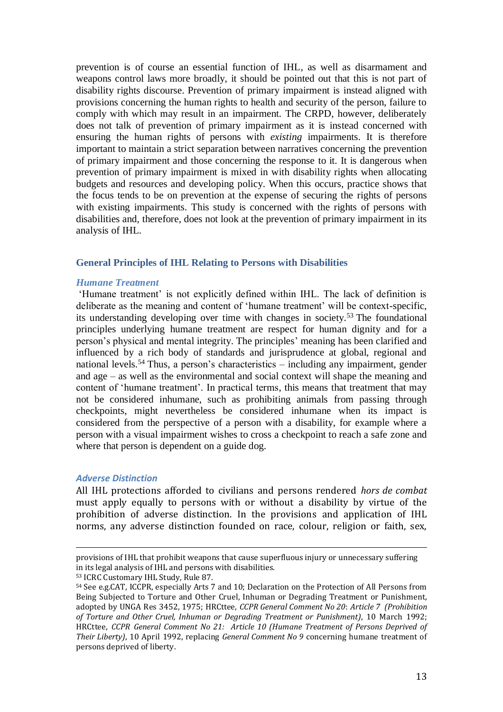prevention is of course an essential function of IHL, as well as disarmament and weapons control laws more broadly, it should be pointed out that this is not part of disability rights discourse. Prevention of primary impairment is instead aligned with provisions concerning the human rights to health and security of the person, failure to comply with which may result in an impairment. The CRPD, however, deliberately does not talk of prevention of primary impairment as it is instead concerned with ensuring the human rights of persons with *existing* impairments. It is therefore important to maintain a strict separation between narratives concerning the prevention of primary impairment and those concerning the response to it. It is dangerous when prevention of primary impairment is mixed in with disability rights when allocating budgets and resources and developing policy. When this occurs, practice shows that the focus tends to be on prevention at the expense of securing the rights of persons with existing impairments. This study is concerned with the rights of persons with disabilities and, therefore, does not look at the prevention of primary impairment in its analysis of IHL.

## **General Principles of IHL Relating to Persons with Disabilities**

#### *Humane Treatment*

'Humane treatment' is not explicitly defined within IHL. The lack of definition is deliberate as the meaning and content of 'humane treatment' will be context-specific, its understanding developing over time with changes in society.<sup>53</sup> The foundational principles underlying humane treatment are respect for human dignity and for a person's physical and mental integrity. The principles' meaning has been clarified and influenced by a rich body of standards and jurisprudence at global, regional and national levels.<sup>54</sup> Thus, a person's characteristics – including any impairment, gender and age – as well as the environmental and social context will shape the meaning and content of 'humane treatment'. In practical terms, this means that treatment that may not be considered inhumane, such as prohibiting animals from passing through checkpoints, might nevertheless be considered inhumane when its impact is considered from the perspective of a person with a disability, for example where a person with a visual impairment wishes to cross a checkpoint to reach a safe zone and where that person is dependent on a guide dog.

## *Adverse Distinction*

 $\overline{a}$ 

All IHL protections afforded to civilians and persons rendered *hors de combat* must apply equally to persons with or without a disability by virtue of the prohibition of adverse distinction. In the provisions and application of IHL norms, any adverse distinction founded on race, colour, religion or faith, sex,

provisions of IHL that prohibit weapons that cause superfluous injury or unnecessary suffering in its legal analysis of IHL and persons with disabilities.

<sup>53</sup> ICRC Customary IHL Study, Rule 87.

<sup>54</sup> See e.g.CAT, ICCPR, especially Arts 7 and 10; Declaration on the Protection of All Persons from Being Subjected to Torture and Other Cruel, Inhuman or Degrading Treatment or Punishment, adopted by UNGA Res 3452, 1975; HRCttee, *CCPR General Comment No 20*: *Article 7 (Prohibition of Torture and Other Cruel, Inhuman or Degrading Treatment or Punishment)*, 10 March 1992; HRCttee, *CCPR General Comment No 21: Article 10 (Humane Treatment of Persons Deprived of Their Liberty)*, 10 April 1992, replacing *General Comment No 9* concerning humane treatment of persons deprived of liberty.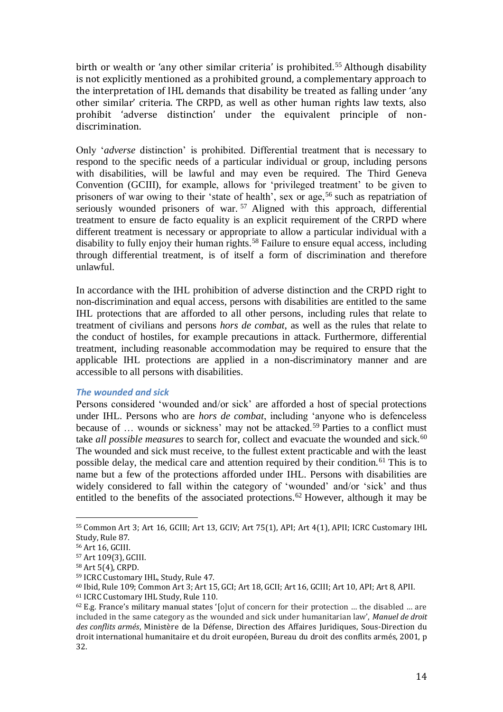birth or wealth or 'any other similar criteria' is prohibited.<sup>55</sup> Although disability is not explicitly mentioned as a prohibited ground, a complementary approach to the interpretation of IHL demands that disability be treated as falling under 'any other similar' criteria. The CRPD, as well as other human rights law texts, also prohibit 'adverse distinction' under the equivalent principle of nondiscrimination.

Only '*adverse* distinction' is prohibited. Differential treatment that is necessary to respond to the specific needs of a particular individual or group, including persons with disabilities, will be lawful and may even be required. The Third Geneva Convention (GCIII), for example, allows for 'privileged treatment' to be given to prisoners of war owing to their 'state of health', sex or age,<sup>56</sup> such as repatriation of seriously wounded prisoners of war.<sup>57</sup> Aligned with this approach, differential treatment to ensure de facto equality is an explicit requirement of the CRPD where different treatment is necessary or appropriate to allow a particular individual with a disability to fully enjoy their human rights.<sup>58</sup> Failure to ensure equal access, including through differential treatment, is of itself a form of discrimination and therefore unlawful.

In accordance with the IHL prohibition of adverse distinction and the CRPD right to non-discrimination and equal access, persons with disabilities are entitled to the same IHL protections that are afforded to all other persons, including rules that relate to treatment of civilians and persons *hors de combat*, as well as the rules that relate to the conduct of hostiles, for example precautions in attack. Furthermore, differential treatment, including reasonable accommodation may be required to ensure that the applicable IHL protections are applied in a non-discriminatory manner and are accessible to all persons with disabilities.

## *The wounded and sick*

Persons considered 'wounded and/or sick' are afforded a host of special protections under IHL. Persons who are *hors de combat*, including 'anyone who is defenceless because of ... wounds or sickness' may not be attacked.<sup>59</sup> Parties to a conflict must take *all possible measures* to search for, collect and evacuate the wounded and sick.<sup>60</sup> The wounded and sick must receive, to the fullest extent practicable and with the least possible delay, the medical care and attention required by their condition.<sup>61</sup> This is to name but a few of the protections afforded under IHL. Persons with disabilities are widely considered to fall within the category of 'wounded' and/or 'sick' and thus entitled to the benefits of the associated protections.<sup>62</sup> However, although it may be

<sup>55</sup> Common Art 3; Art 16, GCIII; Art 13, GCIV; Art 75(1), API; Art 4(1), APII; ICRC Customary IHL Study, Rule 87.

<sup>56</sup> Art 16, GCIII.

<sup>57</sup> Art 109(3), GCIII.

<sup>58</sup> Art 5(4), CRPD.

<sup>59</sup> ICRC Customary IHL, Study, Rule 47.

<sup>60</sup> Ibid, Rule 109; Common Art 3; Art 15, GCI; Art 18, GCII; Art 16, GCIII; Art 10, API; Art 8, APII.

<sup>61</sup> ICRC Customary IHL Study, Rule 110.

 $62$  E.g. France's military manual states '[o]ut of concern for their protection ... the disabled ... are included in the same category as the wounded and sick under humanitarian law', *Manuel de droit des conflits armés*, Ministère de la Défense, Direction des Affaires Juridiques, Sous-Direction du droit international humanitaire et du droit européen, Bureau du droit des conflits armés, 2001, p 32.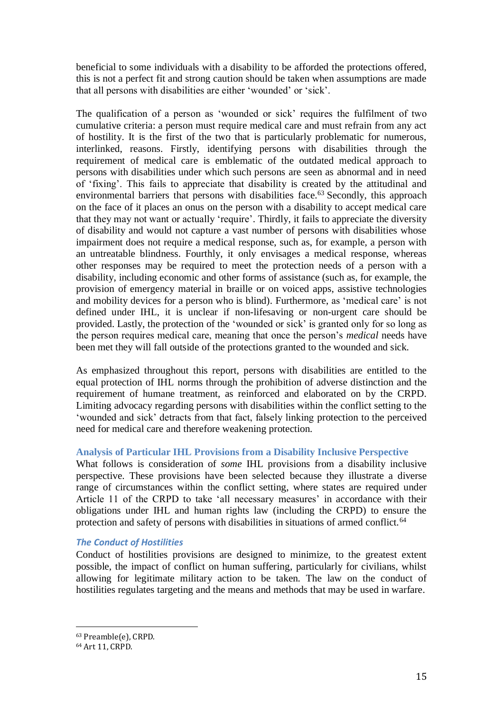beneficial to some individuals with a disability to be afforded the protections offered, this is not a perfect fit and strong caution should be taken when assumptions are made that all persons with disabilities are either 'wounded' or 'sick'.

The qualification of a person as 'wounded or sick' requires the fulfilment of two cumulative criteria: a person must require medical care and must refrain from any act of hostility. It is the first of the two that is particularly problematic for numerous, interlinked, reasons. Firstly, identifying persons with disabilities through the requirement of medical care is emblematic of the outdated medical approach to persons with disabilities under which such persons are seen as abnormal and in need of 'fixing'. This fails to appreciate that disability is created by the attitudinal and environmental barriers that persons with disabilities face.<sup>63</sup> Secondly, this approach on the face of it places an onus on the person with a disability to accept medical care that they may not want or actually 'require'. Thirdly, it fails to appreciate the diversity of disability and would not capture a vast number of persons with disabilities whose impairment does not require a medical response, such as, for example, a person with an untreatable blindness. Fourthly, it only envisages a medical response, whereas other responses may be required to meet the protection needs of a person with a disability, including economic and other forms of assistance (such as, for example, the provision of emergency material in braille or on voiced apps, assistive technologies and mobility devices for a person who is blind). Furthermore, as 'medical care' is not defined under IHL, it is unclear if non-lifesaving or non-urgent care should be provided. Lastly, the protection of the 'wounded or sick' is granted only for so long as the person requires medical care, meaning that once the person's *medical* needs have been met they will fall outside of the protections granted to the wounded and sick.

As emphasized throughout this report, persons with disabilities are entitled to the equal protection of IHL norms through the prohibition of adverse distinction and the requirement of humane treatment, as reinforced and elaborated on by the CRPD. Limiting advocacy regarding persons with disabilities within the conflict setting to the 'wounded and sick' detracts from that fact, falsely linking protection to the perceived need for medical care and therefore weakening protection.

## **Analysis of Particular IHL Provisions from a Disability Inclusive Perspective**

What follows is consideration of *some* IHL provisions from a disability inclusive perspective. These provisions have been selected because they illustrate a diverse range of circumstances within the conflict setting, where states are required under Article 11 of the CRPD to take 'all necessary measures' in accordance with their obligations under IHL and human rights law (including the CRPD) to ensure the protection and safety of persons with disabilities in situations of armed conflict.<sup>64</sup>

## *The Conduct of Hostilities*

Conduct of hostilities provisions are designed to minimize, to the greatest extent possible, the impact of conflict on human suffering, particularly for civilians, whilst allowing for legitimate military action to be taken. The law on the conduct of hostilities regulates targeting and the means and methods that may be used in warfare.

<sup>63</sup> Preamble(e), CRPD.

<sup>64</sup> Art 11, CRPD.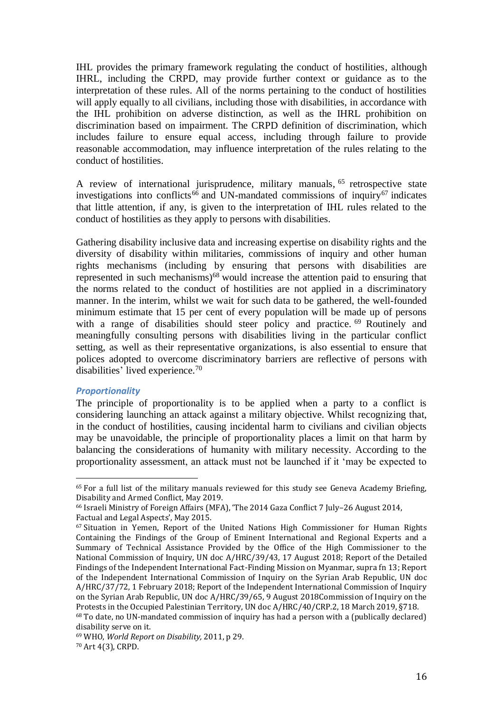IHL provides the primary framework regulating the conduct of hostilities, although IHRL, including the CRPD, may provide further context or guidance as to the interpretation of these rules. All of the norms pertaining to the conduct of hostilities will apply equally to all civilians, including those with disabilities, in accordance with the IHL prohibition on adverse distinction, as well as the IHRL prohibition on discrimination based on impairment. The CRPD definition of discrimination, which includes failure to ensure equal access, including through failure to provide reasonable accommodation, may influence interpretation of the rules relating to the conduct of hostilities.

A review of international jurisprudence, military manuals, <sup>65</sup> retrospective state investigations into conflicts<sup>66</sup> and UN-mandated commissions of inquiry<sup>67</sup> indicates that little attention, if any, is given to the interpretation of IHL rules related to the conduct of hostilities as they apply to persons with disabilities.

Gathering disability inclusive data and increasing expertise on disability rights and the diversity of disability within militaries, commissions of inquiry and other human rights mechanisms (including by ensuring that persons with disabilities are represented in such mechanisms)<sup>68</sup> would increase the attention paid to ensuring that the norms related to the conduct of hostilities are not applied in a discriminatory manner. In the interim, whilst we wait for such data to be gathered, the well-founded minimum estimate that 15 per cent of every population will be made up of persons with a range of disabilities should steer policy and practice. <sup>69</sup> Routinely and meaningfully consulting persons with disabilities living in the particular conflict setting, as well as their representative organizations, is also essential to ensure that polices adopted to overcome discriminatory barriers are reflective of persons with disabilities' lived experience.<sup>70</sup>

#### *Proportionality*

 $\overline{a}$ 

The principle of proportionality is to be applied when a party to a conflict is considering launching an attack against a military objective. Whilst recognizing that, in the conduct of hostilities, causing incidental harm to civilians and civilian objects may be unavoidable, the principle of proportionality places a limit on that harm by balancing the considerations of humanity with military necessity. According to the proportionality assessment, an attack must not be launched if it 'may be expected to

<sup>65</sup> For a full list of the military manuals reviewed for this study see Geneva Academy Briefing, Disability and Armed Conflict, May 2019.

<sup>66</sup> Israeli Ministry of Foreign Affairs (MFA), 'The 2014 Gaza Conflict 7 July–26 August 2014, Factual and Legal Aspects', May 2015.

 $67$  Situation in Yemen. Report of the United Nations High Commissioner for Human Rights Containing the Findings of the Group of Eminent International and Regional Experts and a Summary of Technical Assistance Provided by the Office of the High Commissioner to the National Commission of Inquiry, UN doc A/HRC/39/43, 17 August 2018; Report of the Detailed Findings of the Independent International Fact-Finding Mission on Myanmar, supra fn 13; Report of the Independent International Commission of Inquiry on the Syrian Arab Republic, UN doc A/HRC/37/72, 1 February 2018; Report of the Independent International Commission of Inquiry on the Syrian Arab Republic, UN doc A/HRC/39/65, 9 August 2018Commission of Inquiry on the Protests in the Occupied Palestinian Territory, UN doc A/HRC/40/CRP.2, 18 March 2019, §718. <sup>68</sup> To date, no UN-mandated commission of inquiry has had a person with a (publically declared) disability serve on it.

<sup>69</sup> WHO, *World Report on Disability,* 2011, p 29. <sup>70</sup> Art 4(3), CRPD.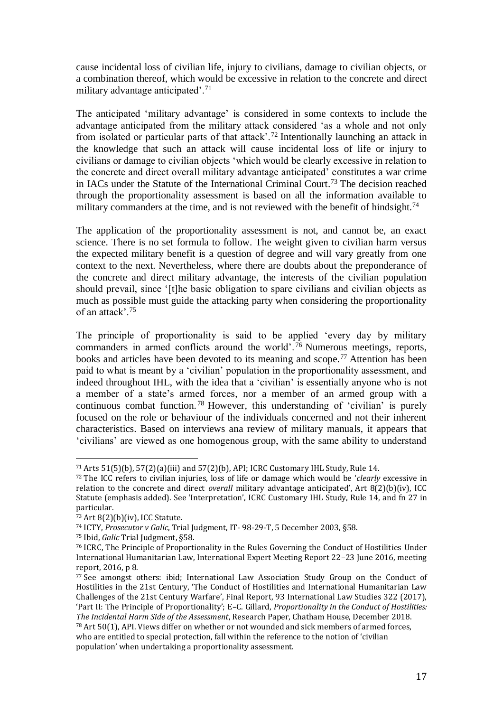cause incidental loss of civilian life, injury to civilians, damage to civilian objects, or a combination thereof, which would be excessive in relation to the concrete and direct military advantage anticipated'.<sup>71</sup>

The anticipated 'military advantage' is considered in some contexts to include the advantage anticipated from the military attack considered 'as a whole and not only from isolated or particular parts of that attack'.<sup>72</sup> Intentionally launching an attack in the knowledge that such an attack will cause incidental loss of life or injury to civilians or damage to civilian objects 'which would be clearly excessive in relation to the concrete and direct overall military advantage anticipated' constitutes a war crime in IACs under the Statute of the International Criminal Court. <sup>73</sup> The decision reached through the proportionality assessment is based on all the information available to military commanders at the time, and is not reviewed with the benefit of hindsight.<sup>74</sup>

The application of the proportionality assessment is not, and cannot be, an exact science. There is no set formula to follow. The weight given to civilian harm versus the expected military benefit is a question of degree and will vary greatly from one context to the next. Nevertheless, where there are doubts about the preponderance of the concrete and direct military advantage, the interests of the civilian population should prevail, since '[t]he basic obligation to spare civilians and civilian objects as much as possible must guide the attacking party when considering the proportionality of an attack'.<sup>75</sup>

The principle of proportionality is said to be applied 'every day by military commanders in armed conflicts around the world'.<sup>76</sup> Numerous meetings, reports, books and articles have been devoted to its meaning and scope.<sup>77</sup> Attention has been paid to what is meant by a 'civilian' population in the proportionality assessment, and indeed throughout IHL, with the idea that a 'civilian' is essentially anyone who is not a member of a state's armed forces, nor a member of an armed group with a continuous combat function. <sup>78</sup> However, this understanding of 'civilian' is purely focused on the role or behaviour of the individuals concerned and not their inherent characteristics. Based on interviews ana review of military manuals, it appears that 'civilians' are viewed as one homogenous group, with the same ability to understand

 $\overline{a}$ <sup>71</sup> Arts 51(5)(b), 57(2)(a)(iii) and 57(2)(b), API; ICRC Customary IHL Study, Rule 14.

<sup>72</sup> The ICC refers to civilian injuries, loss of life or damage which would be '*clearly* excessive in relation to the concrete and direct *overall* military advantage anticipated', Art 8(2)(b)(iv), ICC Statute (emphasis added). See 'Interpretation', ICRC Customary IHL Study, Rule 14, and fn 27 in particular.

 $73$  Art 8(2)(b)(iv), ICC Statute.

<sup>74</sup> ICTY, *Prosecutor v Galic*, Trial Judgment, IT- 98-29-T, 5 December 2003, §58.

<sup>75</sup> Ibid, *Galic* Trial Judgment, §58.

<sup>76</sup> ICRC, The Principle of Proportionality in the Rules Governing the Conduct of Hostilities Under International Humanitarian Law, International Expert Meeting Report 22–23 June 2016, meeting report, 2016, p 8.

<sup>77</sup> See amongst others: ibid; International Law Association Study Group on the Conduct of Hostilities in the 21st Century, 'The Conduct of Hostilities and International Humanitarian Law Challenges of the 21st Century Warfare', Final Report, 93 International Law Studies 322 (2017), 'Part II: The Principle of Proportionality'; E–C. Gillard, *Proportionality in the Conduct of Hostilities: The Incidental Harm Side of the Assessment*, Research Paper, Chatham House, December 2018.

<sup>78</sup> Art 50(1), API. Views differ on whether or not wounded and sick members of armed forces, who are entitled to special protection, fall within the reference to the notion of 'civilian population' when undertaking a proportionality assessment.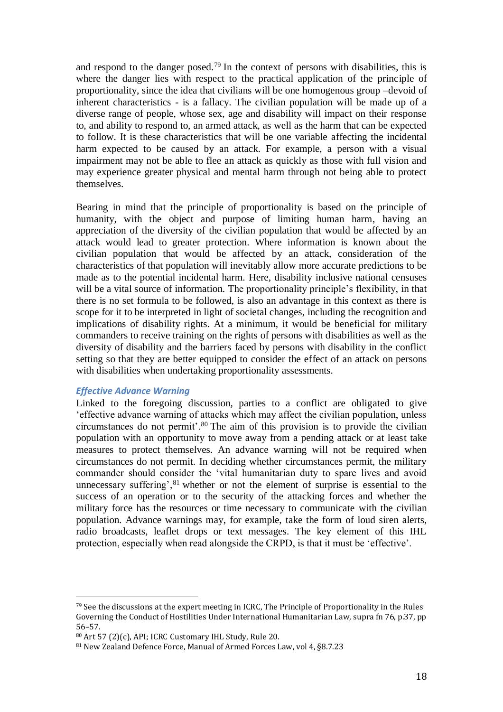and respond to the danger posed.<sup>79</sup> In the context of persons with disabilities, this is where the danger lies with respect to the practical application of the principle of proportionality, since the idea that civilians will be one homogenous group –devoid of inherent characteristics - is a fallacy. The civilian population will be made up of a diverse range of people, whose sex, age and disability will impact on their response to, and ability to respond to, an armed attack, as well as the harm that can be expected to follow. It is these characteristics that will be one variable affecting the incidental harm expected to be caused by an attack. For example, a person with a visual impairment may not be able to flee an attack as quickly as those with full vision and may experience greater physical and mental harm through not being able to protect themselves.

Bearing in mind that the principle of proportionality is based on the principle of humanity, with the object and purpose of limiting human harm, having an appreciation of the diversity of the civilian population that would be affected by an attack would lead to greater protection. Where information is known about the civilian population that would be affected by an attack, consideration of the characteristics of that population will inevitably allow more accurate predictions to be made as to the potential incidental harm. Here, disability inclusive national censuses will be a vital source of information. The proportionality principle's flexibility, in that there is no set formula to be followed, is also an advantage in this context as there is scope for it to be interpreted in light of societal changes, including the recognition and implications of disability rights. At a minimum, it would be beneficial for military commanders to receive training on the rights of persons with disabilities as well as the diversity of disability and the barriers faced by persons with disability in the conflict setting so that they are better equipped to consider the effect of an attack on persons with disabilities when undertaking proportionality assessments.

#### *Effective Advance Warning*

 $\overline{a}$ 

Linked to the foregoing discussion, parties to a conflict are obligated to give 'effective advance warning of attacks which may affect the civilian population, unless circumstances do not permit'.<sup>80</sup> The aim of this provision is to provide the civilian population with an opportunity to move away from a pending attack or at least take measures to protect themselves. An advance warning will not be required when circumstances do not permit. In deciding whether circumstances permit, the military commander should consider the 'vital humanitarian duty to spare lives and avoid unnecessary suffering', <sup>81</sup> whether or not the element of surprise is essential to the success of an operation or to the security of the attacking forces and whether the military force has the resources or time necessary to communicate with the civilian population. Advance warnings may, for example, take the form of loud siren alerts, radio broadcasts, leaflet drops or text messages. The key element of this IHL protection, especially when read alongside the CRPD, is that it must be 'effective'.

 $79$  See the discussions at the expert meeting in ICRC, The Principle of Proportionality in the Rules Governing the Conduct of Hostilities Under International Humanitarian Law, supra fn 76, p.37, pp 56–57.

<sup>80</sup> Art 57 (2)(c), API; ICRC Customary IHL Study, Rule 20.

<sup>81</sup> New Zealand Defence Force, Manual of Armed Forces Law, vol 4, §8.7.23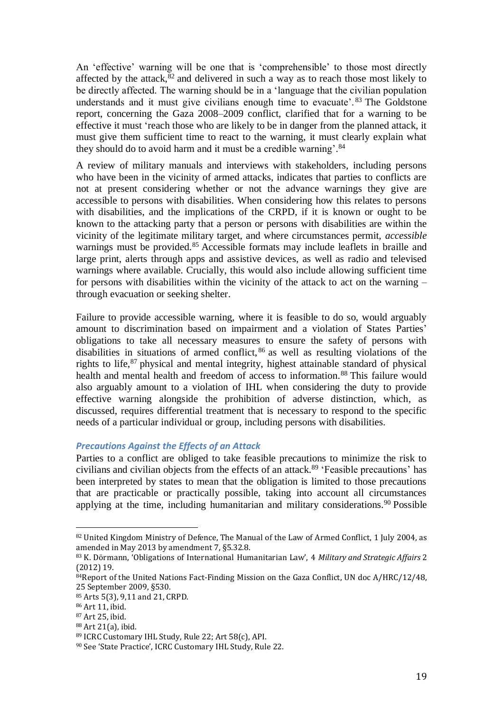An 'effective' warning will be one that is 'comprehensible' to those most directly affected by the attack, $82$  and delivered in such a way as to reach those most likely to be directly affected. The warning should be in a 'language that the civilian population understands and it must give civilians enough time to evacuate'. <sup>83</sup> The Goldstone report, concerning the Gaza 2008–2009 conflict, clarified that for a warning to be effective it must 'reach those who are likely to be in danger from the planned attack, it must give them sufficient time to react to the warning, it must clearly explain what they should do to avoid harm and it must be a credible warning'.<sup>84</sup>

A review of military manuals and interviews with stakeholders, including persons who have been in the vicinity of armed attacks, indicates that parties to conflicts are not at present considering whether or not the advance warnings they give are accessible to persons with disabilities. When considering how this relates to persons with disabilities, and the implications of the CRPD, if it is known or ought to be known to the attacking party that a person or persons with disabilities are within the vicinity of the legitimate military target, and where circumstances permit, *accessible* warnings must be provided.<sup>85</sup> Accessible formats may include leaflets in braille and large print, alerts through apps and assistive devices, as well as radio and televised warnings where available. Crucially, this would also include allowing sufficient time for persons with disabilities within the vicinity of the attack to act on the warning – through evacuation or seeking shelter.

Failure to provide accessible warning, where it is feasible to do so, would arguably amount to discrimination based on impairment and a violation of States Parties' obligations to take all necessary measures to ensure the safety of persons with disabilities in situations of armed conflict, <sup>86</sup> as well as resulting violations of the rights to life, $87$  physical and mental integrity, highest attainable standard of physical health and mental health and freedom of access to information.<sup>88</sup> This failure would also arguably amount to a violation of IHL when considering the duty to provide effective warning alongside the prohibition of adverse distinction, which, as discussed, requires differential treatment that is necessary to respond to the specific needs of a particular individual or group, including persons with disabilities.

#### *Precautions Against the Effects of an Attack*

Parties to a conflict are obliged to take feasible precautions to minimize the risk to civilians and civilian objects from the effects of an attack.<sup>89</sup> 'Feasible precautions' has been interpreted by states to mean that the obligation is limited to those precautions that are practicable or practically possible, taking into account all circumstances applying at the time, including humanitarian and military considerations.<sup>90</sup> Possible

 $\overline{\phantom{a}}$ 

<sup>88</sup> Art 21(a), ibid.

<sup>82</sup> United Kingdom Ministry of Defence, The Manual of the Law of Armed Conflict, 1 July 2004, as amended in May 2013 by amendment 7, §5.32.8.

<sup>83</sup> K. Dörmann, 'Obligations of International Humanitarian Law', 4 *Military and Strategic Affairs* 2 (2012) 19.

<sup>84</sup>Report of the United Nations Fact-Finding Mission on the Gaza Conflict, UN doc A/HRC/12/48, 25 September 2009, §530.

<sup>85</sup> Arts 5(3), 9,11 and 21, CRPD.

<sup>86</sup> Art 11, ibid.

<sup>87</sup> Art 25, ibid.

<sup>89</sup> ICRC Customary IHL Study, Rule 22; Art 58(c), API.

<sup>90</sup> See 'State Practice', ICRC Customary IHL Study, Rule 22.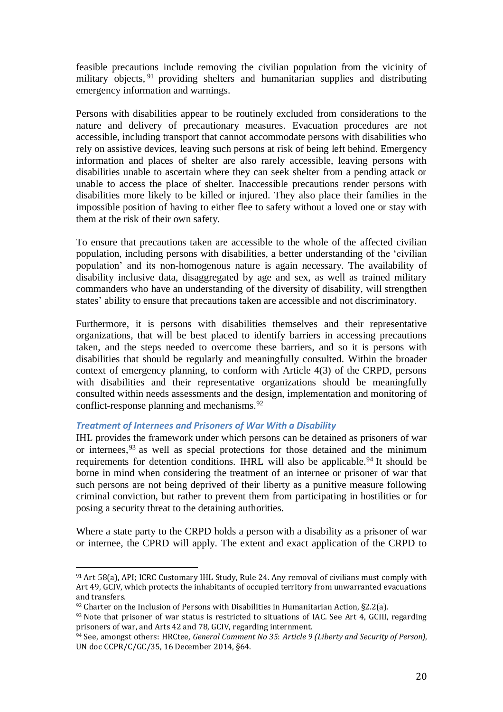feasible precautions include removing the civilian population from the vicinity of military objects, <sup>91</sup> providing shelters and humanitarian supplies and distributing emergency information and warnings.

Persons with disabilities appear to be routinely excluded from considerations to the nature and delivery of precautionary measures. Evacuation procedures are not accessible, including transport that cannot accommodate persons with disabilities who rely on assistive devices, leaving such persons at risk of being left behind. Emergency information and places of shelter are also rarely accessible, leaving persons with disabilities unable to ascertain where they can seek shelter from a pending attack or unable to access the place of shelter. Inaccessible precautions render persons with disabilities more likely to be killed or injured. They also place their families in the impossible position of having to either flee to safety without a loved one or stay with them at the risk of their own safety.

To ensure that precautions taken are accessible to the whole of the affected civilian population, including persons with disabilities, a better understanding of the 'civilian population' and its non-homogenous nature is again necessary. The availability of disability inclusive data, disaggregated by age and sex, as well as trained military commanders who have an understanding of the diversity of disability, will strengthen states' ability to ensure that precautions taken are accessible and not discriminatory.

Furthermore, it is persons with disabilities themselves and their representative organizations, that will be best placed to identify barriers in accessing precautions taken, and the steps needed to overcome these barriers, and so it is persons with disabilities that should be regularly and meaningfully consulted. Within the broader context of emergency planning, to conform with Article 4(3) of the CRPD, persons with disabilities and their representative organizations should be meaningfully consulted within needs assessments and the design, implementation and monitoring of conflict-response planning and mechanisms.<sup>92</sup>

## *Treatment of Internees and Prisoners of War With a Disability*

 $\overline{\phantom{a}}$ 

IHL provides the framework under which persons can be detained as prisoners of war or internees, <sup>93</sup> as well as special protections for those detained and the minimum requirements for detention conditions. IHRL will also be applicable.<sup>94</sup> It should be borne in mind when considering the treatment of an internee or prisoner of war that such persons are not being deprived of their liberty as a punitive measure following criminal conviction, but rather to prevent them from participating in hostilities or for posing a security threat to the detaining authorities.

Where a state party to the CRPD holds a person with a disability as a prisoner of war or internee, the CPRD will apply. The extent and exact application of the CRPD to

<sup>91</sup> Art 58(a), API; ICRC Customary IHL Study, Rule 24. Any removal of civilians must comply with Art 49, GCIV, which protects the inhabitants of occupied territory from unwarranted evacuations and transfers.

 $92$  Charter on the Inclusion of Persons with Disabilities in Humanitarian Action, §2.2(a).

 $93$  Note that prisoner of war status is restricted to situations of IAC. See Art 4, GCIII, regarding prisoners of war, and Arts 42 and 78, GCIV, regarding internment.

<sup>94</sup> See, amongst others: HRCtee, *General Comment No 35*: *Article 9 (Liberty and Security of Person)*, UN doc CCPR/C/GC/35, 16 December 2014, §64.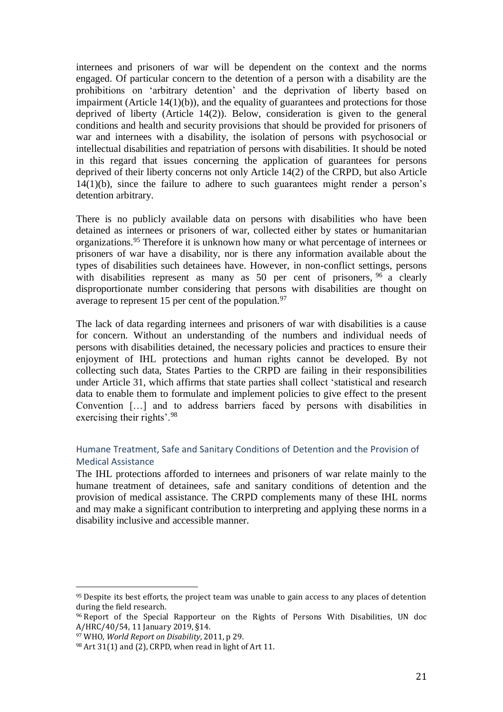internees and prisoners of war will be dependent on the context and the norms engaged. Of particular concern to the detention of a person with a disability are the prohibitions on 'arbitrary detention' and the deprivation of liberty based on impairment (Article  $14(1)(b)$ ), and the equality of guarantees and protections for those deprived of liberty (Article 14(2)). Below, consideration is given to the general conditions and health and security provisions that should be provided for prisoners of war and internees with a disability, the isolation of persons with psychosocial or intellectual disabilities and repatriation of persons with disabilities. It should be noted in this regard that issues concerning the application of guarantees for persons deprived of their liberty concerns not only Article 14(2) of the CRPD, but also Article 14(1)(b), since the failure to adhere to such guarantees might render a person's detention arbitrary.

There is no publicly available data on persons with disabilities who have been detained as internees or prisoners of war, collected either by states or humanitarian organizations. <sup>95</sup> Therefore it is unknown how many or what percentage of internees or prisoners of war have a disability, nor is there any information available about the types of disabilities such detainees have. However, in non-conflict settings, persons with disabilities represent as many as 50 per cent of prisoners, <sup>96</sup> a clearly disproportionate number considering that persons with disabilities are thought on average to represent 15 per cent of the population. $97$ 

The lack of data regarding internees and prisoners of war with disabilities is a cause for concern. Without an understanding of the numbers and individual needs of persons with disabilities detained, the necessary policies and practices to ensure their enjoyment of IHL protections and human rights cannot be developed. By not collecting such data, States Parties to the CRPD are failing in their responsibilities under Article 31, which affirms that state parties shall collect 'statistical and research data to enable them to formulate and implement policies to give effect to the present Convention […] and to address barriers faced by persons with disabilities in exercising their rights'.<sup>98</sup>

# Humane Treatment, Safe and Sanitary Conditions of Detention and the Provision of Medical Assistance

The IHL protections afforded to internees and prisoners of war relate mainly to the humane treatment of detainees, safe and sanitary conditions of detention and the provision of medical assistance. The CRPD complements many of these IHL norms and may make a significant contribution to interpreting and applying these norms in a disability inclusive and accessible manner.

<sup>&</sup>lt;sup>95</sup> Despite its best efforts, the project team was unable to gain access to any places of detention during the field research.

<sup>96</sup> Report of the Special Rapporteur on the Rights of Persons With Disabilities, UN doc A/HRC/40/54, 11 January 2019, §14.

<sup>97</sup> WHO, *World Report on Disability*, 2011, p 29.

 $98$  Art 31(1) and (2), CRPD, when read in light of Art 11.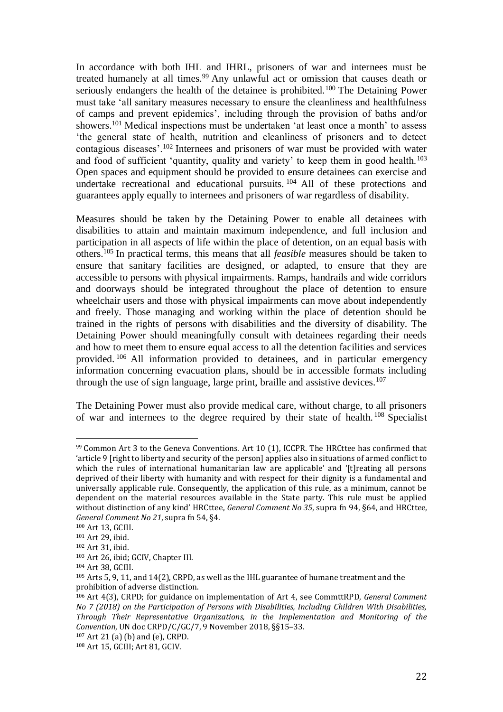In accordance with both IHL and IHRL, prisoners of war and internees must be treated humanely at all times.<sup>99</sup> Any unlawful act or omission that causes death or seriously endangers the health of the detainee is prohibited.<sup>100</sup> The Detaining Power must take 'all sanitary measures necessary to ensure the cleanliness and healthfulness of camps and prevent epidemics', including through the provision of baths and/or showers.<sup>101</sup> Medical inspections must be undertaken 'at least once a month' to assess 'the general state of health, nutrition and cleanliness of prisoners and to detect contagious diseases'.<sup>102</sup> Internees and prisoners of war must be provided with water and food of sufficient 'quantity, quality and variety' to keep them in good health.<sup>103</sup> Open spaces and equipment should be provided to ensure detainees can exercise and undertake recreational and educational pursuits. <sup>104</sup> All of these protections and guarantees apply equally to internees and prisoners of war regardless of disability.

Measures should be taken by the Detaining Power to enable all detainees with disabilities to attain and maintain maximum independence, and full inclusion and participation in all aspects of life within the place of detention, on an equal basis with others.<sup>105</sup> In practical terms, this means that all *feasible* measures should be taken to ensure that sanitary facilities are designed, or adapted, to ensure that they are accessible to persons with physical impairments. Ramps, handrails and wide corridors and doorways should be integrated throughout the place of detention to ensure wheelchair users and those with physical impairments can move about independently and freely. Those managing and working within the place of detention should be trained in the rights of persons with disabilities and the diversity of disability. The Detaining Power should meaningfully consult with detainees regarding their needs and how to meet them to ensure equal access to all the detention facilities and services provided. <sup>106</sup> All information provided to detainees, and in particular emergency information concerning evacuation plans, should be in accessible formats including through the use of sign language, large print, braille and assistive devices.<sup>107</sup>

The Detaining Power must also provide medical care, without charge, to all prisoners of war and internees to the degree required by their state of health. <sup>108</sup> Specialist

<sup>99</sup> Common Art 3 to the Geneva Conventions. Art 10 (1), ICCPR. The HRCttee has confirmed that 'article 9 [right to liberty and security of the person] applies also in situations of armed conflict to which the rules of international humanitarian law are applicable' and '[t]reating all persons deprived of their liberty with humanity and with respect for their dignity is a fundamental and universally applicable rule. Consequently, the application of this rule, as a minimum, cannot be dependent on the material resources available in the State party. This rule must be applied without distinction of any kind' HRCttee, *General Comment No 35*, supra fn 94, §64, and HRCttee, *General Comment No 21*, supra fn 54, §4.

<sup>100</sup> Art 13, GCIII.

<sup>101</sup> Art 29, ibid.

<sup>102</sup> Art 31, ibid.

<sup>103</sup> Art 26, ibid; GCIV, Chapter III.

<sup>104</sup> Art 38, GCIII.

<sup>105</sup> Arts 5, 9, 11, and 14(2), CRPD, as well as the IHL guarantee of humane treatment and the prohibition of adverse distinction.

<sup>106</sup> Art 4(3), CRPD; for guidance on implementation of Art 4, see CommttRPD, *General Comment No 7 (2018) on the Participation of Persons with Disabilities, Including Children With Disabilities, Through Their Representative Organizations, in the Implementation and Monitoring of the Convention*, UN doc CRPD/C/GC/7, 9 November 2018, §§15–33.

<sup>107</sup> Art 21 (a) (b) and (e), CRPD.

<sup>108</sup> Art 15, GCIII; Art 81, GCIV.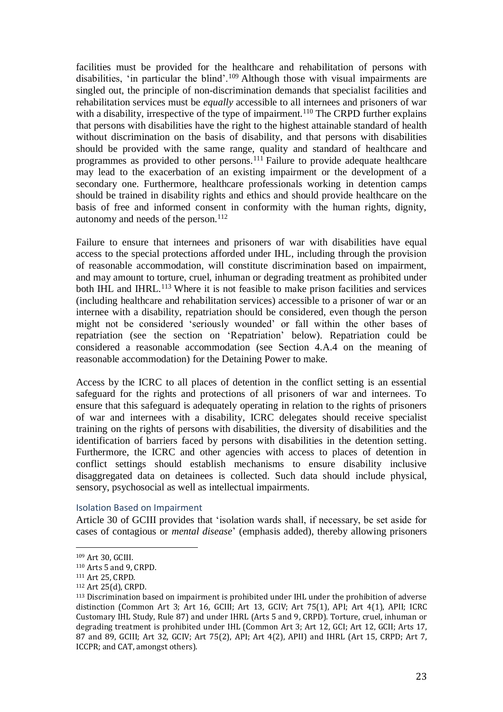facilities must be provided for the healthcare and rehabilitation of persons with disabilities, 'in particular the blind'.<sup>109</sup> Although those with visual impairments are singled out, the principle of non-discrimination demands that specialist facilities and rehabilitation services must be *equally* accessible to all internees and prisoners of war with a disability, irrespective of the type of impairment.<sup>110</sup> The CRPD further explains that persons with disabilities have the right to the highest attainable standard of health without discrimination on the basis of disability, and that persons with disabilities should be provided with the same range, quality and standard of healthcare and programmes as provided to other persons.<sup>111</sup> Failure to provide adequate healthcare may lead to the exacerbation of an existing impairment or the development of a secondary one. Furthermore, healthcare professionals working in detention camps should be trained in disability rights and ethics and should provide healthcare on the basis of free and informed consent in conformity with the human rights, dignity, autonomy and needs of the person.<sup>112</sup>

Failure to ensure that internees and prisoners of war with disabilities have equal access to the special protections afforded under IHL, including through the provision of reasonable accommodation, will constitute discrimination based on impairment, and may amount to torture, cruel, inhuman or degrading treatment as prohibited under both IHL and IHRL.<sup>113</sup> Where it is not feasible to make prison facilities and services (including healthcare and rehabilitation services) accessible to a prisoner of war or an internee with a disability, repatriation should be considered, even though the person might not be considered 'seriously wounded' or fall within the other bases of repatriation (see the section on 'Repatriation' below). Repatriation could be considered a reasonable accommodation (see Section 4.A.4 on the meaning of reasonable accommodation) for the Detaining Power to make.

Access by the ICRC to all places of detention in the conflict setting is an essential safeguard for the rights and protections of all prisoners of war and internees. To ensure that this safeguard is adequately operating in relation to the rights of prisoners of war and internees with a disability, ICRC delegates should receive specialist training on the rights of persons with disabilities, the diversity of disabilities and the identification of barriers faced by persons with disabilities in the detention setting. Furthermore, the ICRC and other agencies with access to places of detention in conflict settings should establish mechanisms to ensure disability inclusive disaggregated data on detainees is collected. Such data should include physical, sensory, psychosocial as well as intellectual impairments.

Isolation Based on Impairment

Article 30 of GCIII provides that 'isolation wards shall, if necessary, be set aside for cases of contagious or *mental disease*' (emphasis added), thereby allowing prisoners

<sup>109</sup> Art 30, GCIII.

<sup>110</sup> Arts 5 and 9, CRPD.

<sup>111</sup> Art 25, CRPD.

<sup>112</sup> Art 25(d), CRPD.

<sup>113</sup> Discrimination based on impairment is prohibited under IHL under the prohibition of adverse distinction (Common Art 3; Art 16, GCIII; Art 13, GCIV; Art 75(1), API; Art 4(1), APII; ICRC Customary IHL Study, Rule 87) and under IHRL (Arts 5 and 9, CRPD). Torture, cruel, inhuman or degrading treatment is prohibited under IHL (Common Art 3; Art 12, GCI; Art 12, GCII; Arts 17, 87 and 89, GCIII; Art 32, GCIV; Art 75(2), API; Art 4(2), APII) and IHRL (Art 15, CRPD; Art 7, ICCPR; and CAT, amongst others).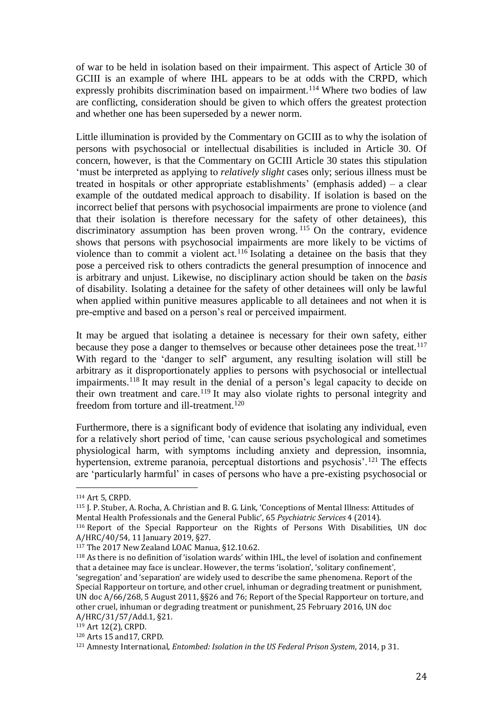of war to be held in isolation based on their impairment. This aspect of Article 30 of GCIII is an example of where IHL appears to be at odds with the CRPD, which expressly prohibits discrimination based on impairment.<sup>114</sup> Where two bodies of law are conflicting, consideration should be given to which offers the greatest protection and whether one has been superseded by a newer norm.

Little illumination is provided by the Commentary on GCIII as to why the isolation of persons with psychosocial or intellectual disabilities is included in Article 30. Of concern, however, is that the Commentary on GCIII Article 30 states this stipulation 'must be interpreted as applying to *relatively slight* cases only; serious illness must be treated in hospitals or other appropriate establishments' (emphasis added) – a clear example of the outdated medical approach to disability. If isolation is based on the incorrect belief that persons with psychosocial impairments are prone to violence (and that their isolation is therefore necessary for the safety of other detainees), this discriminatory assumption has been proven wrong.<sup>115</sup> On the contrary, evidence shows that persons with psychosocial impairments are more likely to be victims of violence than to commit a violent act.<sup>116</sup> Isolating a detainee on the basis that they pose a perceived risk to others contradicts the general presumption of innocence and is arbitrary and unjust. Likewise, no disciplinary action should be taken on the *basis* of disability. Isolating a detainee for the safety of other detainees will only be lawful when applied within punitive measures applicable to all detainees and not when it is pre-emptive and based on a person's real or perceived impairment.

It may be argued that isolating a detainee is necessary for their own safety, either because they pose a danger to themselves or because other detainees pose the treat.<sup>117</sup> With regard to the 'danger to self' argument, any resulting isolation will still be arbitrary as it disproportionately applies to persons with psychosocial or intellectual impairments.<sup>118</sup> It may result in the denial of a person's legal capacity to decide on their own treatment and care.<sup>119</sup> It may also violate rights to personal integrity and freedom from torture and ill-treatment.<sup>120</sup>

Furthermore, there is a significant body of evidence that isolating any individual, even for a relatively short period of time, 'can cause serious psychological and sometimes physiological harm, with symptoms including anxiety and depression, insomnia, hypertension, extreme paranoia, perceptual distortions and psychosis'.<sup>121</sup> The effects are 'particularly harmful' in cases of persons who have a pre-existing psychosocial or

<sup>114</sup> Art 5, CRPD.

<sup>115</sup> J. P. Stuber, A. Rocha, A. Christian and B. G. Link, 'Conceptions of Mental Illness: Attitudes of Mental Health Professionals and the General Public', 65 *Psychiatric Services* 4 (2014). <sup>116</sup> Report of the Special Rapporteur on the Rights of Persons With Disabilities, UN doc

A/HRC/40/54, 11 January 2019, §27.

<sup>117</sup> The 2017 New Zealand LOAC Manua, §12.10.62.

<sup>118</sup> As there is no definition of 'isolation wards' within IHL, the level of isolation and confinement that a detainee may face is unclear. However, the terms 'isolation', 'solitary confinement', 'segregation' and 'separation' are widely used to describe the same phenomena. Report of the Special Rapporteur on torture, and other cruel, inhuman or degrading treatment or punishment, UN doc A/66/268, 5 August 2011, §§26 and 76; Report of the Special Rapporteur on torture, and other cruel, inhuman or degrading treatment or punishment, 25 February 2016, UN doc A/HRC/31/57/Add.1, §21.

<sup>119</sup> Art 12(2), CRPD.

<sup>120</sup> Arts 15 and17, CRPD.

<sup>121</sup> Amnesty International, *Entombed: Isolation in the US Federal Prison System*, 2014, p 31.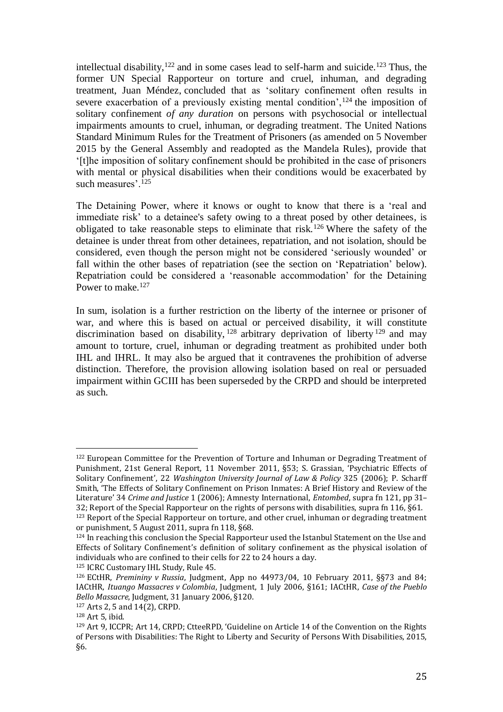intellectual disability, $122$  and in some cases lead to self-harm and suicide.<sup>123</sup> Thus, the former UN Special Rapporteur on torture and cruel, inhuman, and degrading treatment, Juan Méndez, concluded that as 'solitary confinement often results in severe exacerbation of a previously existing mental condition',  $124$  the imposition of solitary confinement *of any duration* on persons with psychosocial or intellectual impairments amounts to cruel, inhuman, or degrading treatment. The United Nations Standard Minimum Rules for the Treatment of Prisoners (as amended on 5 November 2015 by the General Assembly and readopted as the Mandela Rules), provide that '[t]he imposition of solitary confinement should be prohibited in the case of prisoners with mental or physical disabilities when their conditions would be exacerbated by such measures'.<sup>125</sup>

The Detaining Power, where it knows or ought to know that there is a 'real and immediate risk' to a detainee's safety owing to a threat posed by other detainees, is obligated to take reasonable steps to eliminate that risk.<sup>126</sup> Where the safety of the detainee is under threat from other detainees, repatriation, and not isolation, should be considered, even though the person might not be considered 'seriously wounded' or fall within the other bases of repatriation (see the section on 'Repatriation' below). Repatriation could be considered a 'reasonable accommodation' for the Detaining Power to make.<sup>127</sup>

In sum, isolation is a further restriction on the liberty of the internee or prisoner of war, and where this is based on actual or perceived disability, it will constitute discrimination based on disability,  $128$  arbitrary deprivation of liberty  $129$  and may amount to torture, cruel, inhuman or degrading treatment as prohibited under both IHL and IHRL. It may also be argued that it contravenes the prohibition of adverse distinction. Therefore, the provision allowing isolation based on real or persuaded impairment within GCIII has been superseded by the CRPD and should be interpreted as such.

<sup>122</sup> European Committee for the Prevention of Torture and Inhuman or Degrading Treatment of Punishment, 21st General Report, 11 November 2011, §53; S. Grassian, 'Psychiatric Effects of Solitary Confinement', 22 *Washington University Journal of Law & Policy* 325 (2006); P. Scharff Smith, 'The Effects of Solitary Confinement on Prison Inmates: A Brief History and Review of the Literature' 34 *Crime and Justice* 1 (2006); Amnesty International, *Entombed*, supra fn 121, pp 31– 32; Report of the Special Rapporteur on the rights of persons with disabilities, supra fn 116, §61.

<sup>&</sup>lt;sup>123</sup> Report of the Special Rapporteur on torture, and other cruel, inhuman or degrading treatment or punishment, 5 August 2011, supra fn 118, §68.

<sup>124</sup> In reaching this conclusion the Special Rapporteur used the Istanbul Statement on the Use and Effects of Solitary Confinement's definition of solitary confinement as the physical isolation of individuals who are confined to their cells for 22 to 24 hours a day.

<sup>125</sup> ICRC Customary IHL Study, Rule 45.

<sup>126</sup> ECtHR, *Premininy v Russia*, Judgment, App no 44973/04, 10 February 2011, §§73 and 84; IACtHR, *Ituango Massacres v Colombia*, Judgment, 1 July 2006, §161; IACtHR, *Case of the Pueblo Bello Massacre*, Judgment, 31 January 2006, §120.

<sup>127</sup> Arts 2, 5 and 14(2), CRPD.

<sup>128</sup> Art 5, ibid.

<sup>129</sup> Art 9, ICCPR; Art 14, CRPD; CtteeRPD, 'Guideline on Article 14 of the Convention on the Rights of Persons with Disabilities: The Right to Liberty and Security of Persons With Disabilities, 2015, §6.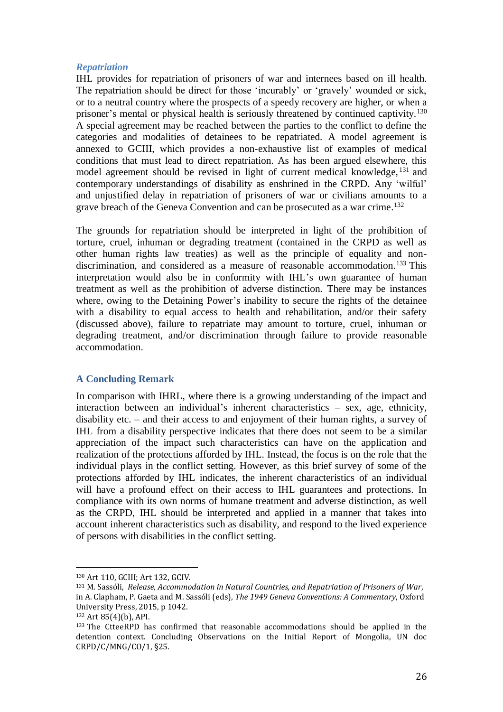## *Repatriation*

IHL provides for repatriation of prisoners of war and internees based on ill health. The repatriation should be direct for those 'incurably' or 'gravely' wounded or sick, or to a neutral country where the prospects of a speedy recovery are higher, or when a prisoner's mental or physical health is seriously threatened by continued captivity.<sup>130</sup> A special agreement may be reached between the parties to the conflict to define the categories and modalities of detainees to be repatriated. A model agreement is annexed to GCIII, which provides a non-exhaustive list of examples of medical conditions that must lead to direct repatriation. As has been argued elsewhere, this model agreement should be revised in light of current medical knowledge, <sup>131</sup> and contemporary understandings of disability as enshrined in the CRPD. Any 'wilful' and unjustified delay in repatriation of prisoners of war or civilians amounts to a grave breach of the Geneva Convention and can be prosecuted as a war crime. 132

The grounds for repatriation should be interpreted in light of the prohibition of torture, cruel, inhuman or degrading treatment (contained in the CRPD as well as other human rights law treaties) as well as the principle of equality and nondiscrimination, and considered as a measure of reasonable accommodation. <sup>133</sup> This interpretation would also be in conformity with IHL's own guarantee of human treatment as well as the prohibition of adverse distinction. There may be instances where, owing to the Detaining Power's inability to secure the rights of the detainee with a disability to equal access to health and rehabilitation, and/or their safety (discussed above), failure to repatriate may amount to torture, cruel, inhuman or degrading treatment, and/or discrimination through failure to provide reasonable accommodation.

## **A Concluding Remark**

In comparison with IHRL, where there is a growing understanding of the impact and interaction between an individual's inherent characteristics – sex, age, ethnicity, disability etc. – and their access to and enjoyment of their human rights, a survey of IHL from a disability perspective indicates that there does not seem to be a similar appreciation of the impact such characteristics can have on the application and realization of the protections afforded by IHL. Instead, the focus is on the role that the individual plays in the conflict setting. However, as this brief survey of some of the protections afforded by IHL indicates, the inherent characteristics of an individual will have a profound effect on their access to IHL guarantees and protections. In compliance with its own norms of humane treatment and adverse distinction, as well as the CRPD, IHL should be interpreted and applied in a manner that takes into account inherent characteristics such as disability, and respond to the lived experience of persons with disabilities in the conflict setting.

<sup>130</sup> Art 110, GCIII; Art 132, GCIV.

<sup>131</sup> M. Sassóli, *Release, Accommodation in Natural Countries, and Repatriation of Prisoners of War*, in A. Clapham, P. Gaeta and M. Sassóli (eds), *The 1949 Geneva Conventions: A Commentary*, Oxford University Press, 2015, p 1042.

<sup>132</sup> Art 85(4)(b), API.

<sup>133</sup> The CtteeRPD has confirmed that reasonable accommodations should be applied in the detention context. Concluding Observations on the Initial Report of Mongolia, UN doc CRPD/C/MNG/CO/1, §25.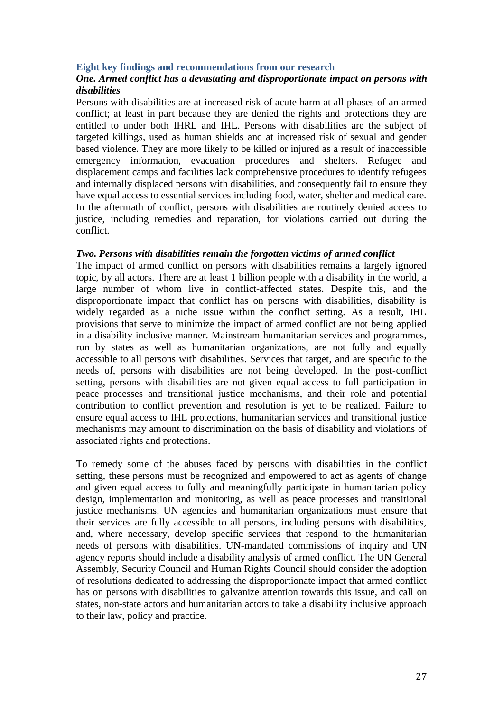## **Eight key findings and recommendations from our research**

## *One. Armed conflict has a devastating and disproportionate impact on persons with disabilities*

Persons with disabilities are at increased risk of acute harm at all phases of an armed conflict; at least in part because they are denied the rights and protections they are entitled to under both IHRL and IHL. Persons with disabilities are the subject of targeted killings, used as human shields and at increased risk of sexual and gender based violence. They are more likely to be killed or injured as a result of inaccessible emergency information, evacuation procedures and shelters. Refugee and displacement camps and facilities lack comprehensive procedures to identify refugees and internally displaced persons with disabilities, and consequently fail to ensure they have equal access to essential services including food, water, shelter and medical care. In the aftermath of conflict, persons with disabilities are routinely denied access to justice, including remedies and reparation, for violations carried out during the conflict.

## *Two. Persons with disabilities remain the forgotten victims of armed conflict*

The impact of armed conflict on persons with disabilities remains a largely ignored topic, by all actors. There are at least 1 billion people with a disability in the world, a large number of whom live in conflict-affected states. Despite this, and the disproportionate impact that conflict has on persons with disabilities, disability is widely regarded as a niche issue within the conflict setting. As a result, IHL provisions that serve to minimize the impact of armed conflict are not being applied in a disability inclusive manner. Mainstream humanitarian services and programmes, run by states as well as humanitarian organizations, are not fully and equally accessible to all persons with disabilities. Services that target, and are specific to the needs of, persons with disabilities are not being developed. In the post-conflict setting, persons with disabilities are not given equal access to full participation in peace processes and transitional justice mechanisms, and their role and potential contribution to conflict prevention and resolution is yet to be realized. Failure to ensure equal access to IHL protections, humanitarian services and transitional justice mechanisms may amount to discrimination on the basis of disability and violations of associated rights and protections.

To remedy some of the abuses faced by persons with disabilities in the conflict setting, these persons must be recognized and empowered to act as agents of change and given equal access to fully and meaningfully participate in humanitarian policy design, implementation and monitoring, as well as peace processes and transitional justice mechanisms. UN agencies and humanitarian organizations must ensure that their services are fully accessible to all persons, including persons with disabilities, and, where necessary, develop specific services that respond to the humanitarian needs of persons with disabilities. UN-mandated commissions of inquiry and UN agency reports should include a disability analysis of armed conflict. The UN General Assembly, Security Council and Human Rights Council should consider the adoption of resolutions dedicated to addressing the disproportionate impact that armed conflict has on persons with disabilities to galvanize attention towards this issue, and call on states, non-state actors and humanitarian actors to take a disability inclusive approach to their law, policy and practice.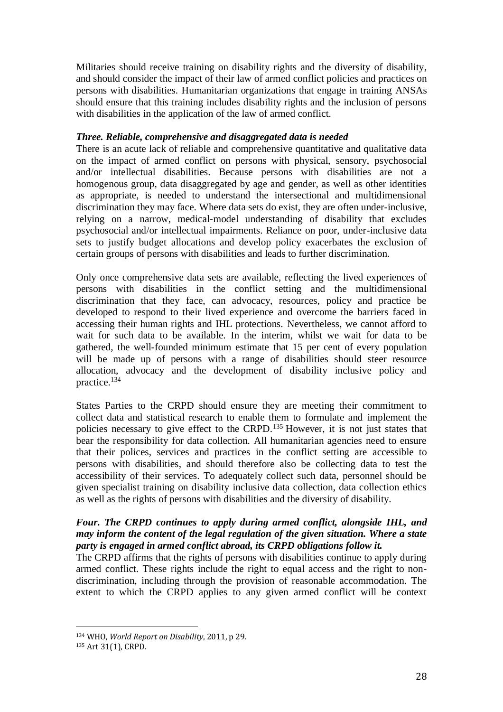Militaries should receive training on disability rights and the diversity of disability, and should consider the impact of their law of armed conflict policies and practices on persons with disabilities. Humanitarian organizations that engage in training ANSAs should ensure that this training includes disability rights and the inclusion of persons with disabilities in the application of the law of armed conflict.

## *Three. Reliable, comprehensive and disaggregated data is needed*

There is an acute lack of reliable and comprehensive quantitative and qualitative data on the impact of armed conflict on persons with physical, sensory, psychosocial and/or intellectual disabilities. Because persons with disabilities are not a homogenous group, data disaggregated by age and gender, as well as other identities as appropriate, is needed to understand the intersectional and multidimensional discrimination they may face. Where data sets do exist, they are often under-inclusive, relying on a narrow, medical-model understanding of disability that excludes psychosocial and/or intellectual impairments. Reliance on poor, under-inclusive data sets to justify budget allocations and develop policy exacerbates the exclusion of certain groups of persons with disabilities and leads to further discrimination.

Only once comprehensive data sets are available, reflecting the lived experiences of persons with disabilities in the conflict setting and the multidimensional discrimination that they face, can advocacy, resources, policy and practice be developed to respond to their lived experience and overcome the barriers faced in accessing their human rights and IHL protections. Nevertheless, we cannot afford to wait for such data to be available. In the interim, whilst we wait for data to be gathered, the well-founded minimum estimate that 15 per cent of every population will be made up of persons with a range of disabilities should steer resource allocation, advocacy and the development of disability inclusive policy and practice.<sup>134</sup>

States Parties to the CRPD should ensure they are meeting their commitment to collect data and statistical research to enable them to formulate and implement the policies necessary to give effect to the CRPD.<sup>135</sup> However, it is not just states that bear the responsibility for data collection. All humanitarian agencies need to ensure that their polices, services and practices in the conflict setting are accessible to persons with disabilities, and should therefore also be collecting data to test the accessibility of their services. To adequately collect such data, personnel should be given specialist training on disability inclusive data collection, data collection ethics as well as the rights of persons with disabilities and the diversity of disability.

# *Four. The CRPD continues to apply during armed conflict, alongside IHL, and may inform the content of the legal regulation of the given situation. Where a state party is engaged in armed conflict abroad, its CRPD obligations follow it.*

The CRPD affirms that the rights of persons with disabilities continue to apply during armed conflict. These rights include the right to equal access and the right to nondiscrimination, including through the provision of reasonable accommodation. The extent to which the CRPD applies to any given armed conflict will be context

<sup>134</sup> WHO, *World Report on Disability*, 2011, p 29.

<sup>135</sup> Art 31(1), CRPD.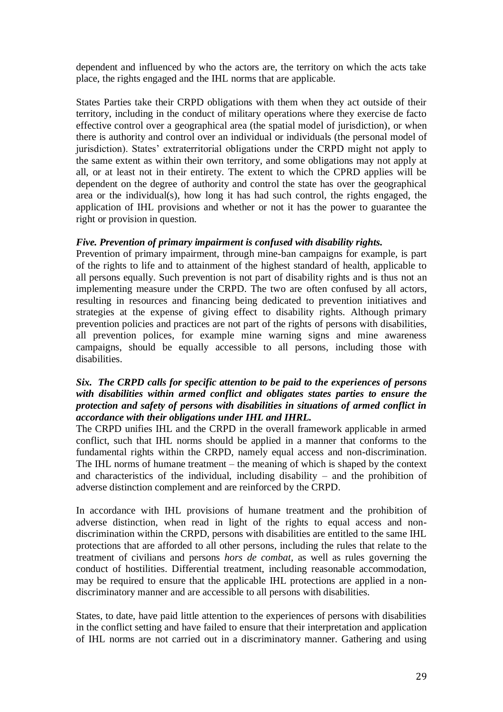dependent and influenced by who the actors are, the territory on which the acts take place, the rights engaged and the IHL norms that are applicable.

States Parties take their CRPD obligations with them when they act outside of their territory, including in the conduct of military operations where they exercise de facto effective control over a geographical area (the spatial model of jurisdiction), or when there is authority and control over an individual or individuals (the personal model of jurisdiction). States' extraterritorial obligations under the CRPD might not apply to the same extent as within their own territory, and some obligations may not apply at all, or at least not in their entirety. The extent to which the CPRD applies will be dependent on the degree of authority and control the state has over the geographical area or the individual(s), how long it has had such control, the rights engaged, the application of IHL provisions and whether or not it has the power to guarantee the right or provision in question.

# *Five. Prevention of primary impairment is confused with disability rights.*

Prevention of primary impairment, through mine-ban campaigns for example, is part of the rights to life and to attainment of the highest standard of health, applicable to all persons equally. Such prevention is not part of disability rights and is thus not an implementing measure under the CRPD. The two are often confused by all actors, resulting in resources and financing being dedicated to prevention initiatives and strategies at the expense of giving effect to disability rights. Although primary prevention policies and practices are not part of the rights of persons with disabilities, all prevention polices, for example mine warning signs and mine awareness campaigns, should be equally accessible to all persons, including those with disabilities.

## *Six. The CRPD calls for specific attention to be paid to the experiences of persons with disabilities within armed conflict and obligates states parties to ensure the protection and safety of persons with disabilities in situations of armed conflict in accordance with their obligations under IHL and IHRL.*

The CRPD unifies IHL and the CRPD in the overall framework applicable in armed conflict, such that IHL norms should be applied in a manner that conforms to the fundamental rights within the CRPD, namely equal access and non-discrimination. The IHL norms of humane treatment – the meaning of which is shaped by the context and characteristics of the individual, including disability – and the prohibition of adverse distinction complement and are reinforced by the CRPD.

In accordance with IHL provisions of humane treatment and the prohibition of adverse distinction, when read in light of the rights to equal access and nondiscrimination within the CRPD, persons with disabilities are entitled to the same IHL protections that are afforded to all other persons, including the rules that relate to the treatment of civilians and persons *hors de combat*, as well as rules governing the conduct of hostilities. Differential treatment, including reasonable accommodation, may be required to ensure that the applicable IHL protections are applied in a nondiscriminatory manner and are accessible to all persons with disabilities.

States, to date, have paid little attention to the experiences of persons with disabilities in the conflict setting and have failed to ensure that their interpretation and application of IHL norms are not carried out in a discriminatory manner. Gathering and using